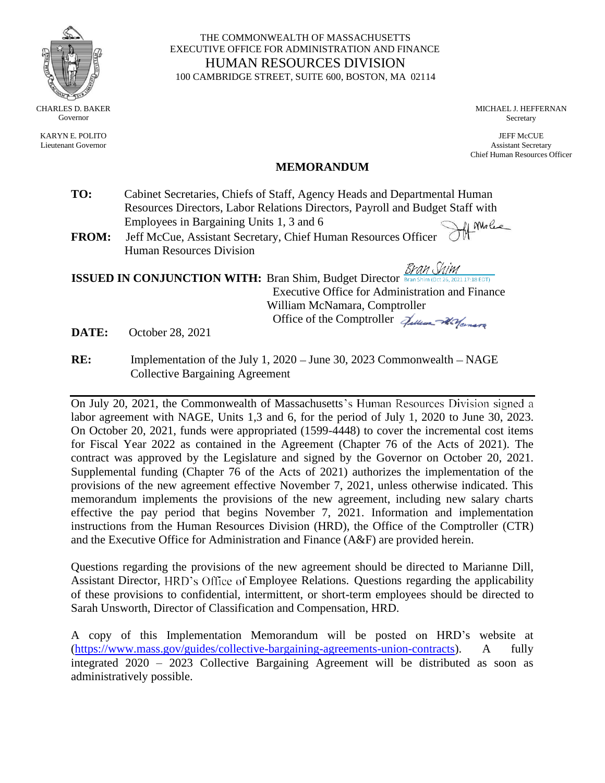

KARYN E. POLITO Lieutenant Governor

#### THE COMMONWEALTH OF MASSACHUSETTS EXECUTIVE OFFICE FOR ADMINISTRATION AND FINANCE HUMAN RESOURCES DIVISION 100 CAMBRIDGE STREET, SUITE 600, BOSTON, MA 02114

MICHAEL J. HEFFERNAN Secretary

JEFF McCUE Assistant Secretary Chief Human Resources Officer

## **MEMORANDUM**

- **TO:** Cabinet Secretaries, Chiefs of Staff, Agency Heads and Departmental Human Resources Directors, Labor Relations Directors, Payroll and Budget Staff with Employees in Bargaining Units 1, 3 and 6 Af Molec
- **FROM:** Jeff McCue, Assistant Secretary, Chief Human Resources Officer Human Resources Division

Bran Shim **ISSUED IN CONJUNCTION WITH:** Bran Shim, Budget Director Executive Office for Administration and Finance William McNamara, Comptroller Office of the Comptroller  $\mathcal{J}_{\mathcal{U}\mathcal{U}_{\mathcal{U}}\mathcal{U}_{\mathcal{U}}\mathcal{U}_{\mathcal{U}}\mathcal{U}_{\mathcal{U}}$ 

**DATE:** October 28, 2021

**RE:** Implementation of the July 1, 2020 – June 30, 2023 Commonwealth – NAGE Collective Bargaining Agreement

On July 20, 2021, the Commonwealth of Massachusetts's Human Resources Division signed a labor agreement with NAGE, Units 1,3 and 6, for the period of July 1, 2020 to June 30, 2023. On October 20, 2021, funds were appropriated (1599-4448) to cover the incremental cost items for Fiscal Year 2022 as contained in the Agreement (Chapter 76 of the Acts of 2021). The contract was approved by the Legislature and signed by the Governor on October 20, 2021. Supplemental funding (Chapter 76 of the Acts of 2021) authorizes the implementation of the provisions of the new agreement effective November 7, 2021, unless otherwise indicated. This memorandum implements the provisions of the new agreement, including new salary charts effective the pay period that begins November 7, 2021. Information and implementation instructions from the Human Resources Division (HRD), the Office of the Comptroller (CTR) and the Executive Office for Administration and Finance (A&F) are provided herein.

Questions regarding the provisions of the new agreement should be directed to Marianne Dill, Assistant Director, HRD's Office of Employee Relations. Questions regarding the applicability of these provisions to confidential, intermittent, or short-term employees should be directed to Sarah Unsworth, Director of Classification and Compensation, HRD.

A copy of this Implementation Memorandum will be posted on HRD's website at [\(https://www.mass.gov/guides/collective-bargaining-agreements-union-contracts\)](https://www.mass.gov/guides/collective-bargaining-agreements-union-contracts). A fully integrated 2020 – 2023 Collective Bargaining Agreement will be distributed as soon as administratively possible.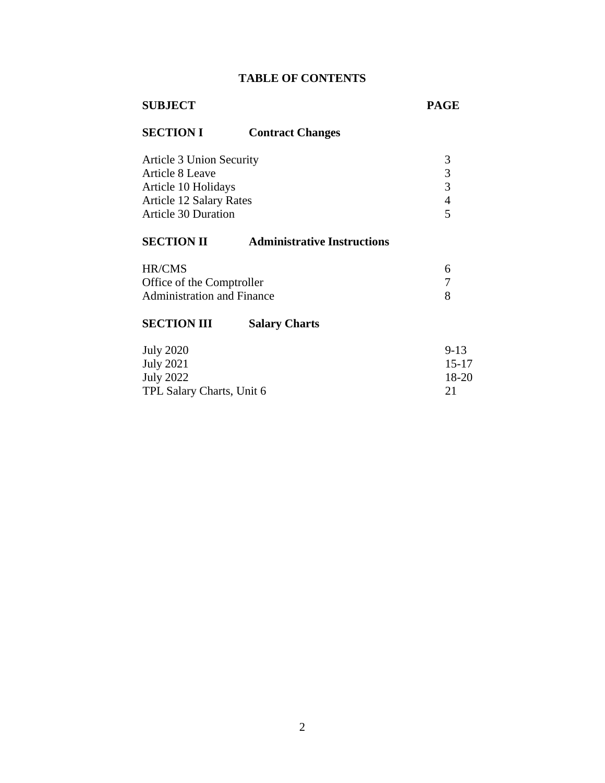# **TABLE OF CONTENTS**

# **SUBJECT PAGE**

# **SECTION I Contract Changes**

| Article 3 Union Security       |   |
|--------------------------------|---|
| Article 8 Leave                | 3 |
| Article 10 Holidays            |   |
| <b>Article 12 Salary Rates</b> |   |
| <b>Article 30 Duration</b>     |   |

# **SECTION II [Administrative](#page-5-0) Instructions**

| HR/CMS                            |  |
|-----------------------------------|--|
| Office of the Comptroller         |  |
| <b>Administration and Finance</b> |  |

# **SECTION III Salary Charts**

| <b>July 2020</b>          | $9 - 13$  |
|---------------------------|-----------|
| July 2021                 | $15 - 17$ |
| July 2022                 | 18-20     |
| TPL Salary Charts, Unit 6 |           |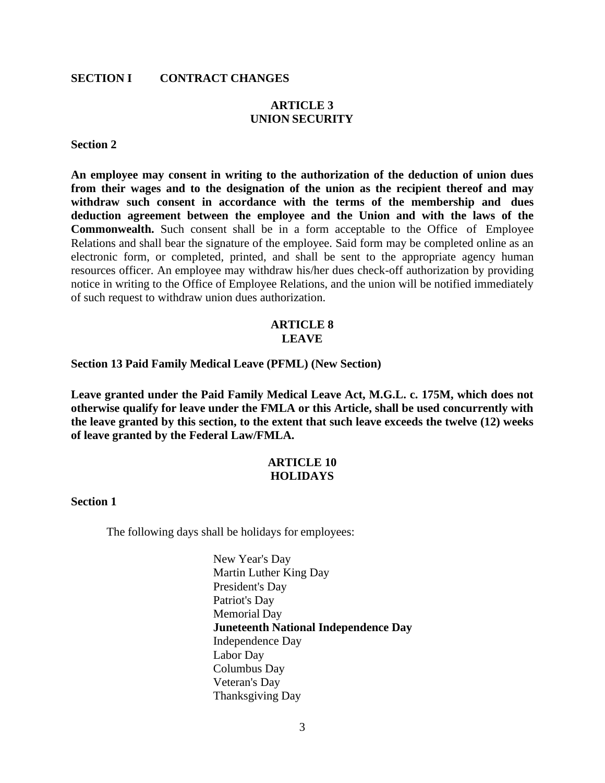#### **SECTION I CONTRACT CHANGES**

# **ARTICLE 3 UNION SECURITY**

#### <span id="page-2-0"></span>**Section 2**

**An employee may consent in writing to the authorization of the deduction of union dues from their wages and to the designation of the union as the recipient thereof and may withdraw such consent in accordance with the terms of the membership and dues deduction agreement between the employee and the Union and with the laws of the Commonwealth.** Such consent shall be in a form acceptable to the Office of Employee Relations and shall bear the signature of the employee. Said form may be completed online as an electronic form, or completed, printed, and shall be sent to the appropriate agency human resources officer. An employee may withdraw his/her dues check-off authorization by providing notice in writing to the Office of Employee Relations, and the union will be notified immediately of such request to withdraw union dues authorization.

#### **ARTICLE 8 LEAVE**

<span id="page-2-1"></span>**Section 13 Paid Family Medical Leave (PFML) (New Section)**

**Leave granted under the Paid Family Medical Leave Act, M.G.L. c. 175M, which does not otherwise qualify for leave under the FMLA or this Article, shall be used concurrently with the leave granted by this section, to the extent that such leave exceeds the twelve (12) weeks of leave granted by the Federal Law/FMLA.**

### **ARTICLE 10 HOLIDAYS**

#### <span id="page-2-2"></span>**Section 1**

The following days shall be holidays for employees:

New Year's Day Martin Luther King Day President's Day Patriot's Day Memorial Day **Juneteenth National Independence Day** Independence Day Labor Day Columbus Day Veteran's Day Thanksgiving Day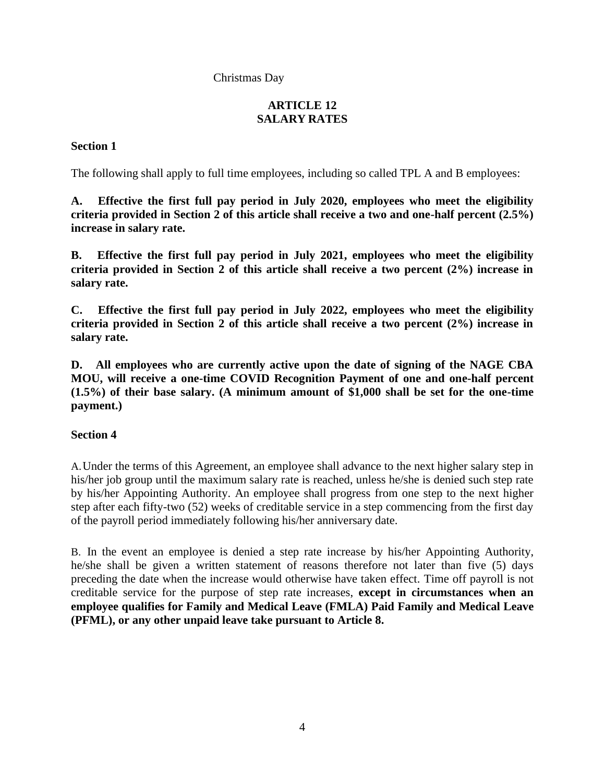# Christmas Day

# **ARTICLE 12 SALARY RATES**

# <span id="page-3-0"></span>**Section 1**

The following shall apply to full time employees, including so called TPL A and B employees:

**A. Effective the first full pay period in July 2020, employees who meet the eligibility criteria provided in Section 2 of this article shall receive a two and one-half percent (2.5%) increase in salary rate.**

**B. Effective the first full pay period in July 2021, employees who meet the eligibility criteria provided in Section 2 of this article shall receive a two percent (2%) increase in salary rate.**

**C. Effective the first full pay period in July 2022, employees who meet the eligibility criteria provided in Section 2 of this article shall receive a two percent (2%) increase in salary rate.**

**D. All employees who are currently active upon the date of signing of the NAGE CBA MOU, will receive a one-time COVID Recognition Payment of one and one-half percent (1.5%) of their base salary. (A minimum amount of \$1,000 shall be set for the one-time payment.)**

# **Section 4**

A.Under the terms of this Agreement, an employee shall advance to the next higher salary step in his/her job group until the maximum salary rate is reached, unless he/she is denied such step rate by his/her Appointing Authority. An employee shall progress from one step to the next higher step after each fifty-two (52) weeks of creditable service in a step commencing from the first day of the payroll period immediately following his/her anniversary date.

B. In the event an employee is denied a step rate increase by his/her Appointing Authority, he/she shall be given a written statement of reasons therefore not later than five (5) days preceding the date when the increase would otherwise have taken effect. Time off payroll is not creditable service for the purpose of step rate increases, **except in circumstances when an employee qualifies for Family and Medical Leave (FMLA) Paid Family and Medical Leave (PFML), or any other unpaid leave take pursuant to Article 8.**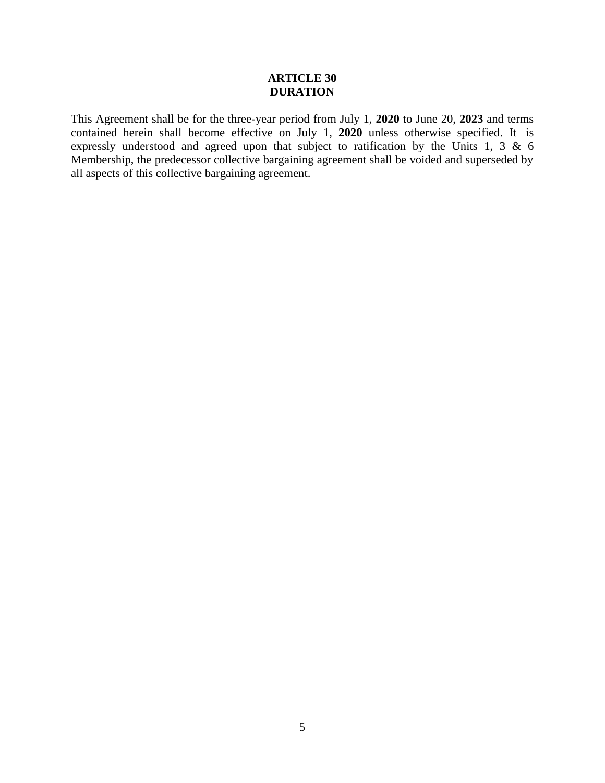## **ARTICLE 30 DURATION**

<span id="page-4-0"></span>This Agreement shall be for the three-year period from July 1, **2020** to June 20, **2023** and terms contained herein shall become effective on July 1, **2020** unless otherwise specified. It is expressly understood and agreed upon that subject to ratification by the Units 1, 3 & 6 Membership, the predecessor collective bargaining agreement shall be voided and superseded by all aspects of this collective bargaining agreement.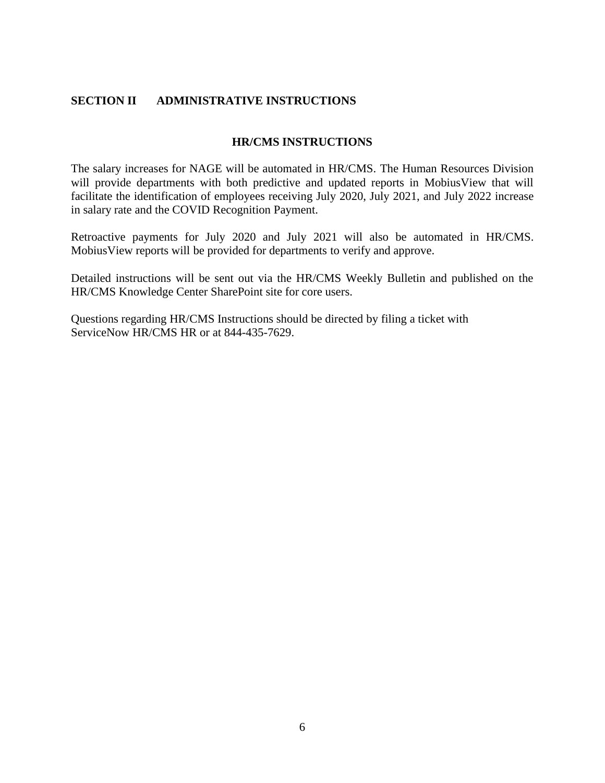# <span id="page-5-0"></span>**SECTION II ADMINISTRATIVE INSTRUCTIONS**

### **HR/CMS INSTRUCTIONS**

The salary increases for NAGE will be automated in HR/CMS. The Human Resources Division will provide departments with both predictive and updated reports in MobiusView that will facilitate the identification of employees receiving July 2020, July 2021, and July 2022 increase in salary rate and the COVID Recognition Payment.

Retroactive payments for July 2020 and July 2021 will also be automated in HR/CMS. MobiusView reports will be provided for departments to verify and approve.

Detailed instructions will be sent out via the HR/CMS Weekly Bulletin and published on the HR/CMS Knowledge Center SharePoint site for core users.

Questions regarding HR/CMS Instructions should be directed by filing a ticket with ServiceNow HR/CMS HR or at 844-435-7629.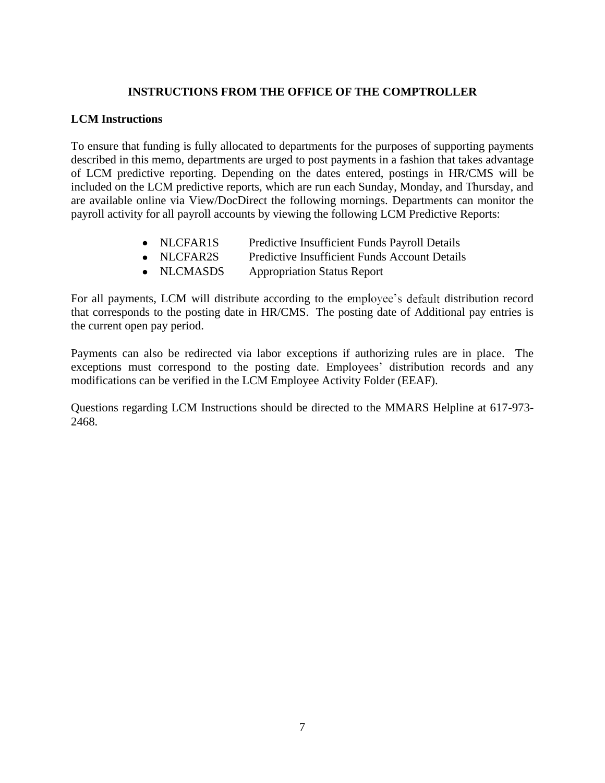# **INSTRUCTIONS FROM THE OFFICE OF THE COMPTROLLER**

## **LCM Instructions**

To ensure that funding is fully allocated to departments for the purposes of supporting payments described in this memo, departments are urged to post payments in a fashion that takes advantage of LCM predictive reporting. Depending on the dates entered, postings in HR/CMS will be included on the LCM predictive reports, which are run each Sunday, Monday, and Thursday, and are available online via View/DocDirect the following mornings. Departments can monitor the payroll activity for all payroll accounts by viewing the following LCM Predictive Reports:

- NLCFAR1S Predictive Insufficient Funds Payroll Details
- NLCFAR2S Predictive Insufficient Funds Account Details
- NLCMASDS Appropriation Status Report

For all payments, LCM will distribute according to the employee's default distribution record that corresponds to the posting date in HR/CMS. The posting date of Additional pay entries is the current open pay period.

Payments can also be redirected via labor exceptions if authorizing rules are in place. The exceptions must correspond to the posting date. Employees' distribution records and any modifications can be verified in the LCM Employee Activity Folder (EEAF).

Questions regarding LCM Instructions should be directed to the MMARS Helpline at 617-973- 2468.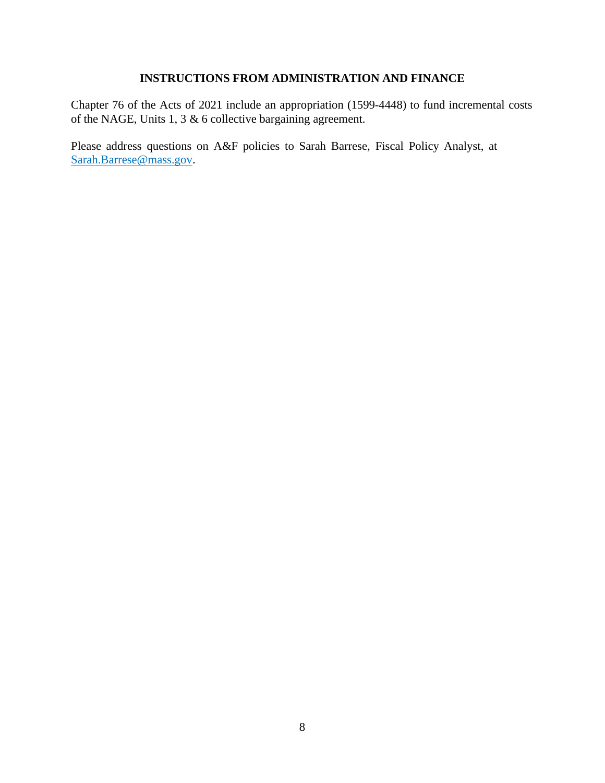# **INSTRUCTIONS FROM ADMINISTRATION AND FINANCE**

Chapter 76 of the Acts of 2021 include an appropriation (1599-4448) to fund incremental costs of the NAGE, Units 1, 3  $\&$  6 collective bargaining agreement.

Please address questions on A&F policies to Sarah Barrese, Fiscal Policy Analyst, at [Sarah.Barrese@mass.gov.](mailto:Sarah.Barrese@mass.gov)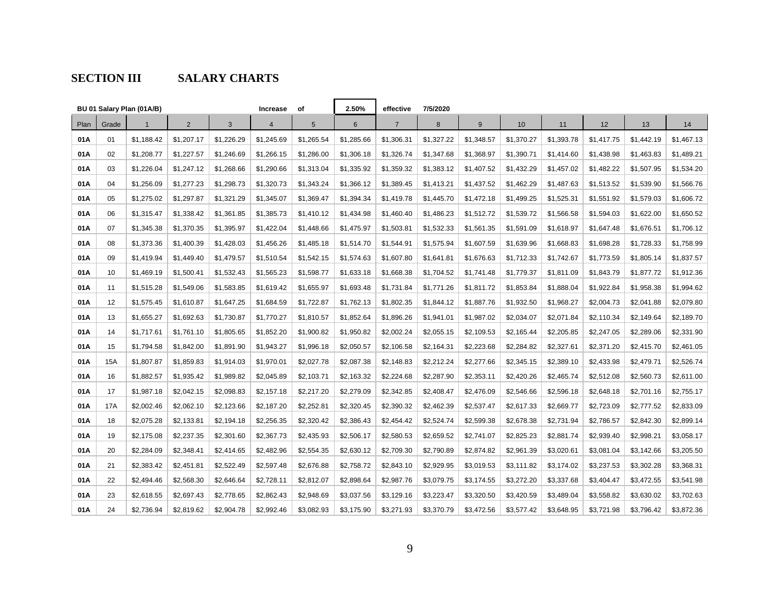# **SECTION III SALARY CHARTS**

|      |       | BU 01 Salary Plan (01A/B) |                |            | <b>Increase</b> | оf              | 2.50%          | effective      | 7/5/2020   |            |            |            |            |            |            |
|------|-------|---------------------------|----------------|------------|-----------------|-----------------|----------------|----------------|------------|------------|------------|------------|------------|------------|------------|
| Plan | Grade | $\mathbf{1}$              | $\overline{2}$ | 3          | $\overline{4}$  | $5\phantom{.0}$ | $6\phantom{.}$ | $\overline{7}$ | 8          | 9          | 10         | 11         | 12         | 13         | 14         |
| 01A  | 01    | \$1,188.42                | \$1,207.17     | \$1,226.29 | \$1,245.69      | \$1,265.54      | \$1,285.66     | \$1,306.31     | \$1,327.22 | \$1,348.57 | \$1,370.27 | \$1,393.78 | \$1,417.75 | \$1,442.19 | \$1,467.13 |
| 01A  | 02    | \$1,208.77                | \$1,227.57     | \$1,246.69 | \$1,266.15      | \$1,286.00      | \$1,306.18     | \$1,326.74     | \$1,347.68 | \$1,368.97 | \$1,390.71 | \$1,414.60 | \$1,438.98 | \$1,463.83 | \$1,489.21 |
| 01A  | 03    | \$1,226.04                | \$1,247.12     | \$1,268.66 | \$1,290.66      | \$1,313.04      | \$1,335.92     | \$1,359.32     | \$1,383.12 | \$1,407.52 | \$1,432.29 | \$1,457.02 | \$1,482.22 | \$1,507.95 | \$1,534.20 |
| 01A  | 04    | \$1,256.09                | \$1,277.23     | \$1,298.73 | \$1,320.73      | \$1,343.24      | \$1,366.12     | \$1,389.45     | \$1,413.21 | \$1,437.52 | \$1,462.29 | \$1,487.63 | \$1,513.52 | \$1,539.90 | \$1,566.76 |
| 01A  | 05    | \$1,275.02                | \$1,297.87     | \$1,321.29 | \$1,345.07      | \$1,369.47      | \$1,394.34     | \$1,419.78     | \$1,445.70 | \$1,472.18 | \$1,499.25 | \$1,525.31 | \$1,551.92 | \$1,579.03 | \$1,606.72 |
| 01A  | 06    | \$1,315.47                | \$1,338.42     | \$1,361.85 | \$1,385.73      | \$1,410.12      | \$1,434.98     | \$1,460.40     | \$1,486.23 | \$1,512.72 | \$1,539.72 | \$1,566.58 | \$1,594.03 | \$1,622.00 | \$1,650.52 |
| 01A  | 07    | \$1,345.38                | \$1,370.35     | \$1,395.97 | \$1,422.04      | \$1,448.66      | \$1,475.97     | \$1,503.81     | \$1,532.33 | \$1,561.35 | \$1,591.09 | \$1,618.97 | \$1,647.48 | \$1,676.51 | \$1,706.12 |
| 01A  | 08    | \$1,373.36                | \$1,400.39     | \$1,428.03 | \$1,456.26      | \$1,485.18      | \$1,514.70     | \$1,544.91     | \$1,575.94 | \$1,607.59 | \$1,639.96 | \$1,668.83 | \$1,698.28 | \$1,728.33 | \$1,758.99 |
| 01A  | 09    | \$1,419.94                | \$1,449.40     | \$1,479.57 | \$1,510.54      | \$1,542.15      | \$1,574.63     | \$1,607.80     | \$1,641.81 | \$1,676.63 | \$1,712.33 | \$1,742.67 | \$1,773.59 | \$1,805.14 | \$1,837.57 |
| 01A  | 10    | \$1,469.19                | \$1,500.41     | \$1,532.43 | \$1,565.23      | \$1,598.77      | \$1,633.18     | \$1,668.38     | \$1,704.52 | \$1,741.48 | \$1,779.37 | \$1,811.09 | \$1,843.79 | \$1,877.72 | \$1,912.36 |
| 01A  | 11    | \$1,515.28                | \$1,549.06     | \$1,583.85 | \$1,619.42      | \$1,655.97      | \$1,693.48     | \$1,731.84     | \$1,771.26 | \$1,811.72 | \$1,853.84 | \$1,888.04 | \$1,922.84 | \$1,958.38 | \$1,994.62 |
| 01A  | 12    | \$1,575.45                | \$1,610.87     | \$1,647.25 | \$1,684.59      | \$1,722.87      | \$1,762.13     | \$1,802.35     | \$1,844.12 | \$1,887.76 | \$1,932.50 | \$1,968.27 | \$2,004.73 | \$2,041.88 | \$2,079.80 |
| 01A  | 13    | \$1,655.27                | \$1,692.63     | \$1,730.87 | \$1,770.27      | \$1,810.57      | \$1,852.64     | \$1,896.26     | \$1,941.01 | \$1,987.02 | \$2,034.07 | \$2,071.84 | \$2,110.34 | \$2,149.64 | \$2,189.70 |
| 01A  | 14    | \$1,717.61                | \$1,761.10     | \$1,805.65 | \$1,852.20      | \$1,900.82      | \$1,950.82     | \$2,002.24     | \$2,055.15 | \$2,109.53 | \$2,165.44 | \$2,205.85 | \$2,247.05 | \$2,289.06 | \$2,331.90 |
| 01A  | 15    | \$1,794.58                | \$1,842.00     | \$1,891.90 | \$1,943.27      | \$1,996.18      | \$2,050.57     | \$2,106.58     | \$2,164.31 | \$2,223.68 | \$2,284.82 | \$2,327.61 | \$2,371.20 | \$2,415.70 | \$2,461.05 |
| 01A  | 15A   | \$1,807.87                | \$1,859.83     | \$1,914.03 | \$1,970.01      | \$2,027.78      | \$2,087.38     | \$2,148.83     | \$2,212.24 | \$2,277.66 | \$2,345.15 | \$2,389.10 | \$2,433.98 | \$2,479.71 | \$2,526.74 |
| 01A  | 16    | \$1,882.57                | \$1,935.42     | \$1,989.82 | \$2,045.89      | \$2,103.71      | \$2,163.32     | \$2,224.68     | \$2,287.90 | \$2,353.11 | \$2,420.26 | \$2,465.74 | \$2,512.08 | \$2,560.73 | \$2,611.00 |
| 01A  | 17    | \$1,987.18                | \$2,042.15     | \$2,098.83 | \$2,157.18      | \$2,217.20      | \$2,279.09     | \$2,342.85     | \$2,408.47 | \$2,476.09 | \$2,546.66 | \$2,596.18 | \$2,648.18 | \$2,701.16 | \$2,755.17 |
| 01A  | 17A   | \$2,002.46                | \$2,062.10     | \$2,123.66 | \$2,187.20      | \$2,252.81      | \$2,320.45     | \$2,390.32     | \$2,462.39 | \$2,537.47 | \$2,617.33 | \$2,669.77 | \$2,723.09 | \$2,777.52 | \$2,833.09 |
| 01A  | 18    | \$2,075.28                | \$2,133.81     | \$2,194.18 | \$2,256.35      | \$2,320.42      | \$2,386.43     | \$2,454.42     | \$2,524.74 | \$2,599.38 | \$2,678.38 | \$2,731.94 | \$2,786.57 | \$2,842.30 | \$2,899.14 |
| 01A  | 19    | \$2,175.08                | \$2,237.35     | \$2,301.60 | \$2,367.73      | \$2,435.93      | \$2,506.17     | \$2,580.53     | \$2,659.52 | \$2,741.07 | \$2,825.23 | \$2,881.74 | \$2,939.40 | \$2,998.21 | \$3,058.17 |
| 01A  | 20    | \$2,284.09                | \$2,348.41     | \$2,414.65 | \$2,482.96      | \$2,554.35      | \$2,630.12     | \$2,709.30     | \$2,790.89 | \$2,874.82 | \$2,961.39 | \$3,020.61 | \$3,081.04 | \$3,142.66 | \$3,205.50 |
| 01A  | 21    | \$2,383.42                | \$2,451.81     | \$2,522.49 | \$2,597.48      | \$2,676.88      | \$2,758.72     | \$2,843.10     | \$2,929.95 | \$3,019.53 | \$3,111.82 | \$3,174.02 | \$3,237.53 | \$3,302.28 | \$3,368.31 |
| 01A  | 22    | \$2,494.46                | \$2,568.30     | \$2,646.64 | \$2,728.11      | \$2,812.07      | \$2,898.64     | \$2,987.76     | \$3,079.75 | \$3,174.55 | \$3,272.20 | \$3,337.68 | \$3,404.47 | \$3,472.55 | \$3,541.98 |
| 01A  | 23    | \$2,618.55                | \$2,697.43     | \$2,778.65 | \$2,862.43      | \$2,948.69      | \$3,037.56     | \$3,129.16     | \$3,223.47 | \$3,320.50 | \$3,420.59 | \$3,489.04 | \$3,558.82 | \$3,630.02 | \$3,702.63 |
| 01A  | 24    | \$2,736.94                | \$2,819.62     | \$2,904.78 | \$2,992.46      | \$3,082.93      | \$3,175.90     | \$3,271.93     | \$3,370.79 | \$3,472.56 | \$3,577.42 | \$3,648.95 | \$3,721.98 | \$3,796.42 | \$3,872.36 |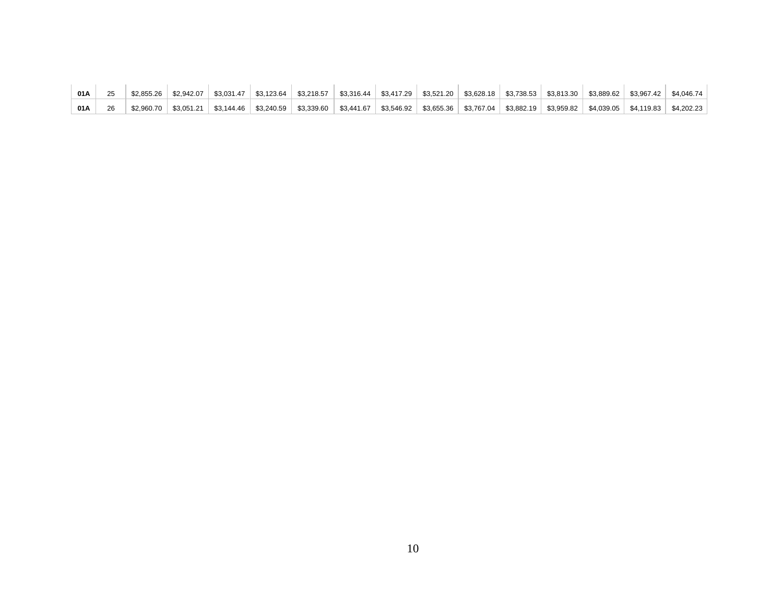| 01 A |            |  | \$2,855.26   \$2,942.07   \$3,031.47   \$3,123.64   \$3,218.57   \$3,316.44   \$3,417.29   \$3,521.20   \$3,628.18   \$3,738.53   \$3,813.30   \$3,889.62   \$3,967.42   \$4,046.74 |  |  |  |  |                                                                                                                                                                        |
|------|------------|--|-------------------------------------------------------------------------------------------------------------------------------------------------------------------------------------|--|--|--|--|------------------------------------------------------------------------------------------------------------------------------------------------------------------------|
| 01 A | \$2.960.70 |  |                                                                                                                                                                                     |  |  |  |  | \$3,051.21   \$3,144.46   \$3,240.59   \$3,339.60   \$3,441.67   \$3,546.92   \$3,655.36   \$3,767.04   \$3,882.19   \$3,959.82   \$4,039.05   \$4,119.83   \$4,202.23 |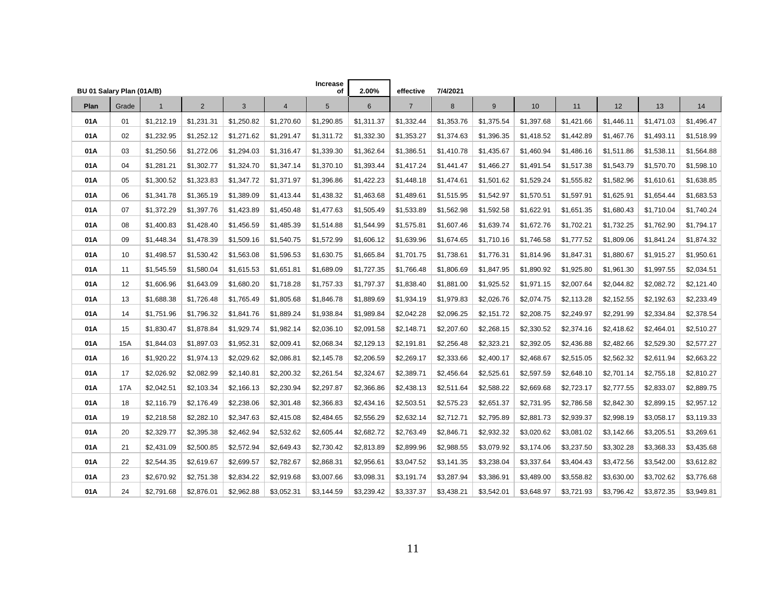| BU 01 Salary Plan (01A/B) |       |             |                |            |                | Increase<br>οf | 2.00%      | effective      | 7/4/2021   |            |            |            |            |            |            |
|---------------------------|-------|-------------|----------------|------------|----------------|----------------|------------|----------------|------------|------------|------------|------------|------------|------------|------------|
| Plan                      | Grade | $\mathbf 1$ | $\overline{2}$ | 3          | $\overline{4}$ | 5              | 6          | $\overline{7}$ | 8          | 9          | 10         | 11         | 12         | 13         | 14         |
| 01A                       | 01    | \$1,212.19  | \$1,231.31     | \$1,250.82 | \$1,270.60     | \$1,290.85     | \$1,311.37 | \$1,332.44     | \$1,353.76 | \$1,375.54 | \$1,397.68 | \$1,421.66 | \$1,446.11 | \$1,471.03 | \$1,496.47 |
| 01A                       | 02    | \$1,232.95  | \$1,252.12     | \$1,271.62 | \$1,291.47     | \$1,311.72     | \$1,332.30 | \$1,353.27     | \$1,374.63 | \$1,396.35 | \$1,418.52 | \$1,442.89 | \$1,467.76 | \$1,493.11 | \$1,518.99 |
| 01A                       | 03    | \$1,250.56  | \$1,272.06     | \$1,294.03 | \$1,316.47     | \$1,339.30     | \$1,362.64 | \$1,386.51     | \$1,410.78 | \$1,435.67 | \$1,460.94 | \$1,486.16 | \$1,511.86 | \$1,538.11 | \$1,564.88 |
| 01A                       | 04    | \$1,281.21  | \$1,302.77     | \$1,324.70 | \$1,347.14     | \$1,370.10     | \$1,393.44 | \$1,417.24     | \$1,441.47 | \$1,466.27 | \$1,491.54 | \$1,517.38 | \$1,543.79 | \$1,570.70 | \$1,598.10 |
| 01A                       | 05    | \$1,300.52  | \$1,323.83     | \$1,347.72 | \$1,371.97     | \$1,396.86     | \$1,422.23 | \$1,448.18     | \$1,474.61 | \$1,501.62 | \$1,529.24 | \$1,555.82 | \$1,582.96 | \$1,610.61 | \$1,638.85 |
| 01A                       | 06    | \$1,341.78  | \$1,365.19     | \$1,389.09 | \$1,413.44     | \$1,438.32     | \$1,463.68 | \$1,489.61     | \$1,515.95 | \$1,542.97 | \$1,570.51 | \$1,597.91 | \$1,625.91 | \$1,654.44 | \$1,683.53 |
| 01A                       | 07    | \$1,372.29  | \$1,397.76     | \$1,423.89 | \$1,450.48     | \$1,477.63     | \$1,505.49 | \$1,533.89     | \$1,562.98 | \$1,592.58 | \$1,622.91 | \$1,651.35 | \$1,680.43 | \$1,710.04 | \$1,740.24 |
| 01A                       | 08    | \$1,400.83  | \$1,428.40     | \$1,456.59 | \$1,485.39     | \$1,514.88     | \$1,544.99 | \$1,575.81     | \$1,607.46 | \$1,639.74 | \$1,672.76 | \$1,702.21 | \$1,732.25 | \$1,762.90 | \$1,794.17 |
| 01A                       | 09    | \$1,448.34  | \$1,478.39     | \$1,509.16 | \$1,540.75     | \$1,572.99     | \$1,606.12 | \$1,639.96     | \$1,674.65 | \$1,710.16 | \$1,746.58 | \$1,777.52 | \$1,809.06 | \$1,841.24 | \$1,874.32 |
| 01A                       | 10    | \$1,498.57  | \$1,530.42     | \$1,563.08 | \$1,596.53     | \$1,630.75     | \$1,665.84 | \$1,701.75     | \$1,738.61 | \$1,776.31 | \$1,814.96 | \$1,847.31 | \$1,880.67 | \$1,915.27 | \$1,950.61 |
| 01A                       | 11    | \$1,545.59  | \$1,580.04     | \$1,615.53 | \$1,651.81     | \$1,689.09     | \$1,727.35 | \$1,766.48     | \$1,806.69 | \$1,847.95 | \$1,890.92 | \$1,925.80 | \$1,961.30 | \$1,997.55 | \$2,034.51 |
| 01A                       | 12    | \$1,606.96  | \$1,643.09     | \$1,680.20 | \$1,718.28     | \$1,757.33     | \$1,797.37 | \$1,838.40     | \$1,881.00 | \$1,925.52 | \$1,971.15 | \$2,007.64 | \$2,044.82 | \$2,082.72 | \$2,121.40 |
| 01A                       | 13    | \$1,688.38  | \$1,726.48     | \$1,765.49 | \$1,805.68     | \$1,846.78     | \$1,889.69 | \$1,934.19     | \$1,979.83 | \$2,026.76 | \$2,074.75 | \$2,113.28 | \$2,152.55 | \$2,192.63 | \$2,233.49 |
| 01A                       | 14    | \$1,751.96  | \$1,796.32     | \$1,841.76 | \$1,889.24     | \$1,938.84     | \$1,989.84 | \$2,042.28     | \$2,096.25 | \$2,151.72 | \$2,208.75 | \$2,249.97 | \$2,291.99 | \$2,334.84 | \$2,378.54 |
| 01A                       | 15    | \$1,830.47  | \$1,878.84     | \$1,929.74 | \$1,982.14     | \$2,036.10     | \$2,091.58 | \$2,148.71     | \$2,207.60 | \$2,268.15 | \$2,330.52 | \$2,374.16 | \$2,418.62 | \$2,464.01 | \$2,510.27 |
| 01A                       | 15A   | \$1,844.03  | \$1,897.03     | \$1,952.31 | \$2,009.41     | \$2,068.34     | \$2,129.13 | \$2,191.81     | \$2,256.48 | \$2,323.21 | \$2,392.05 | \$2,436.88 | \$2,482.66 | \$2,529.30 | \$2,577.27 |
| 01A                       | 16    | \$1,920.22  | \$1,974.13     | \$2,029.62 | \$2,086.81     | \$2,145.78     | \$2,206.59 | \$2,269.17     | \$2,333.66 | \$2,400.17 | \$2,468.67 | \$2,515.05 | \$2,562.32 | \$2,611.94 | \$2,663.22 |
| 01A                       | 17    | \$2,026.92  | \$2,082.99     | \$2,140.81 | \$2,200.32     | \$2,261.54     | \$2,324.67 | \$2,389.71     | \$2,456.64 | \$2,525.61 | \$2,597.59 | \$2,648.10 | \$2,701.14 | \$2,755.18 | \$2,810.27 |
| 01A                       | 17A   | \$2,042.51  | \$2,103.34     | \$2,166.13 | \$2,230.94     | \$2,297.87     | \$2,366.86 | \$2,438.13     | \$2,511.64 | \$2,588.22 | \$2,669.68 | \$2,723.17 | \$2,777.55 | \$2,833.07 | \$2,889.75 |
| 01A                       | 18    | \$2,116.79  | \$2,176.49     | \$2,238.06 | \$2,301.48     | \$2,366.83     | \$2,434.16 | \$2,503.51     | \$2,575.23 | \$2,651.37 | \$2,731.95 | \$2,786.58 | \$2,842.30 | \$2,899.15 | \$2,957.12 |
| 01A                       | 19    | \$2,218.58  | \$2,282.10     | \$2,347.63 | \$2,415.08     | \$2,484.65     | \$2,556.29 | \$2,632.14     | \$2,712.71 | \$2,795.89 | \$2,881.73 | \$2,939.37 | \$2,998.19 | \$3,058.17 | \$3,119.33 |
| 01A                       | 20    | \$2,329.77  | \$2,395.38     | \$2,462.94 | \$2,532.62     | \$2,605.44     | \$2,682.72 | \$2,763.49     | \$2,846.71 | \$2,932.32 | \$3,020.62 | \$3,081.02 | \$3,142.66 | \$3,205.51 | \$3,269.61 |
| 01A                       | 21    | \$2,431.09  | \$2,500.85     | \$2,572.94 | \$2,649.43     | \$2,730.42     | \$2,813.89 | \$2,899.96     | \$2,988.55 | \$3,079.92 | \$3,174.06 | \$3,237.50 | \$3,302.28 | \$3,368.33 | \$3,435.68 |
| 01A                       | 22    | \$2,544.35  | \$2,619.67     | \$2,699.57 | \$2,782.67     | \$2,868.31     | \$2,956.61 | \$3,047.52     | \$3,141.35 | \$3,238.04 | \$3,337.64 | \$3,404.43 | \$3,472.56 | \$3,542.00 | \$3,612.82 |
| 01A                       | 23    | \$2,670.92  | \$2,751.38     | \$2,834.22 | \$2,919.68     | \$3,007.66     | \$3,098.31 | \$3,191.74     | \$3,287.94 | \$3,386.91 | \$3,489.00 | \$3,558.82 | \$3,630.00 | \$3,702.62 | \$3,776.68 |
| 01A                       | 24    | \$2,791.68  | \$2,876.01     | \$2,962.88 | \$3,052.31     | \$3,144.59     | \$3,239.42 | \$3,337.37     | \$3,438.21 | \$3,542.01 | \$3,648.97 | \$3,721.93 | \$3,796.42 | \$3,872.35 | \$3,949.81 |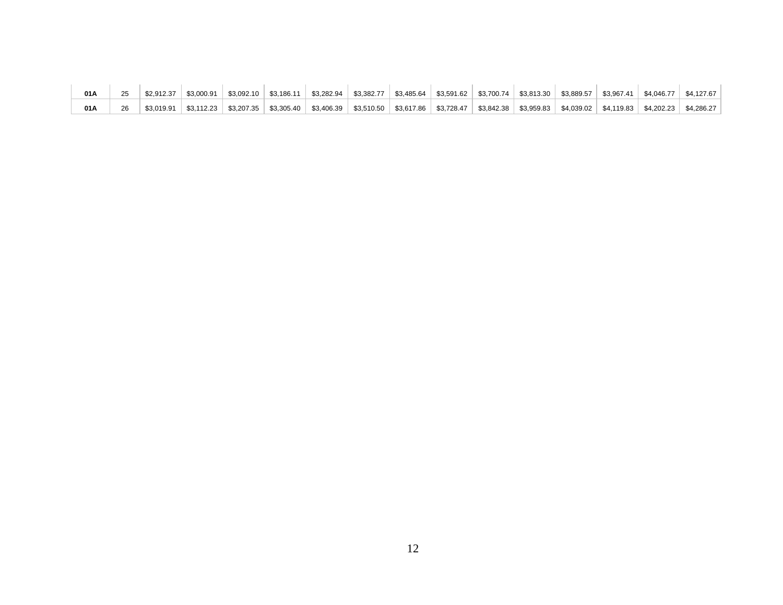| 01A | \$2.912.37 | $\frac{1}{2}$ \$3.000.91 $\frac{1}{2}$ |  | $\mid$ \$3,092.10 $\mid$ \$3,186.11 $\mid$ \$3,282.94 $\mid$ \$3,382.77 $\mid$ \$3,485.64 $\mid$ \$3,591.62 $\mid$ \$3,700.74 $\mid$ \$3,813.30 $\mid$ \$3,889.57 $\mid$ \$3,967.41 $\mid$ |  |  |  | \$4.046.77 | \$4.127.67 |
|-----|------------|----------------------------------------|--|--------------------------------------------------------------------------------------------------------------------------------------------------------------------------------------------|--|--|--|------------|------------|
| 01A | \$3.019.91 |                                        |  | $83,112.23$ $83,207.35$ $83,305.40$ $83,406.39$ $83,510.50$ $83,617.86$ $83,728.47$ $83,842.38$ $83,959.83$ $84,039.02$ $84,119.83$ $84,202.23$                                            |  |  |  |            | \$4.286.27 |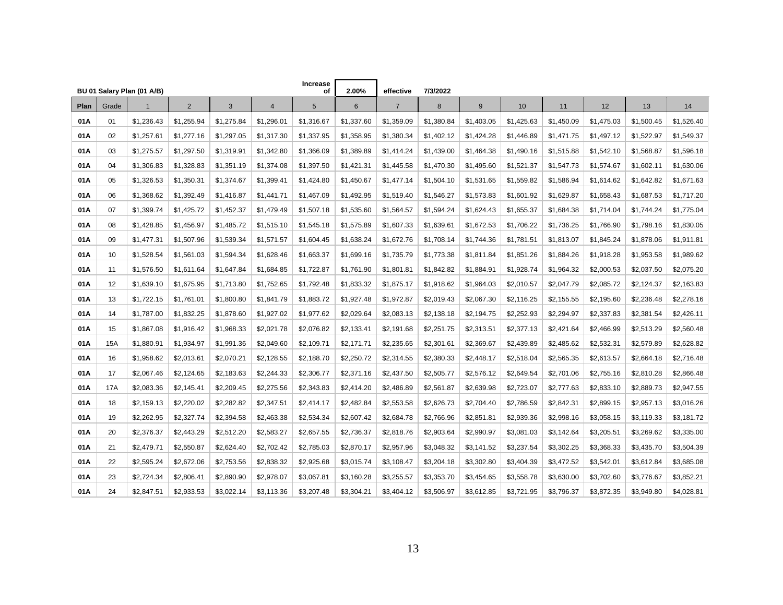|      |       |                                            |             |            |                | <b>Increase</b> | 2.00%          | effective      | 7/3/2022   |            |            |            |            |            |            |
|------|-------|--------------------------------------------|-------------|------------|----------------|-----------------|----------------|----------------|------------|------------|------------|------------|------------|------------|------------|
| Plan | Grade | BU 01 Salary Plan (01 A/B)<br>$\mathbf{1}$ | $2^{\circ}$ | 3          | $\overline{4}$ | οf<br>5         | $6\phantom{1}$ | $\overline{7}$ | $\bf 8$    | 9          | 10         | 11         | 12         | 13         | 14         |
| 01A  | 01    | \$1,236.43                                 | \$1,255.94  | \$1,275.84 | \$1,296.01     | \$1,316.67      | \$1,337.60     | \$1,359.09     | \$1,380.84 | \$1,403.05 | \$1,425.63 | \$1,450.09 | \$1,475.03 | \$1,500.45 | \$1,526.40 |
| 01A  | 02    | \$1,257.61                                 | \$1,277.16  | \$1,297.05 | \$1,317.30     | \$1,337.95      | \$1,358.95     | \$1,380.34     | \$1,402.12 | \$1,424.28 | \$1,446.89 | \$1,471.75 | \$1,497.12 | \$1,522.97 | \$1,549.37 |
| 01A  | 03    | \$1,275.57                                 | \$1,297.50  | \$1,319.91 | \$1,342.80     | \$1,366.09      | \$1,389.89     | \$1,414.24     | \$1,439.00 | \$1,464.38 | \$1,490.16 | \$1,515.88 | \$1,542.10 | \$1,568.87 | \$1,596.18 |
| 01A  | 04    | \$1,306.83                                 | \$1,328.83  | \$1,351.19 | \$1,374.08     | \$1,397.50      | \$1,421.31     | \$1,445.58     | \$1,470.30 | \$1,495.60 | \$1,521.37 | \$1,547.73 | \$1,574.67 | \$1,602.11 | \$1,630.06 |
| 01A  | 05    | \$1,326.53                                 | \$1,350.31  | \$1,374.67 | \$1,399.41     | \$1,424.80      | \$1,450.67     | \$1,477.14     | \$1,504.10 | \$1,531.65 | \$1,559.82 | \$1,586.94 | \$1,614.62 | \$1,642.82 | \$1,671.63 |
| 01A  | 06    | \$1,368.62                                 | \$1,392.49  | \$1,416.87 | \$1,441.71     | \$1,467.09      | \$1,492.95     | \$1,519.40     | \$1,546.27 | \$1,573.83 | \$1,601.92 | \$1,629.87 | \$1,658.43 | \$1,687.53 | \$1,717.20 |
| 01A  | 07    | \$1,399.74                                 | \$1,425.72  | \$1,452.37 | \$1,479.49     | \$1,507.18      | \$1,535.60     | \$1,564.57     | \$1,594.24 | \$1,624.43 | \$1,655.37 | \$1,684.38 | \$1,714.04 | \$1,744.24 | \$1,775.04 |
| 01A  | 08    | \$1,428.85                                 | \$1,456.97  | \$1,485.72 | \$1,515.10     | \$1,545.18      | \$1,575.89     | \$1,607.33     | \$1,639.61 | \$1,672.53 | \$1,706.22 | \$1,736.25 | \$1,766.90 | \$1,798.16 | \$1,830.05 |
| 01A  | 09    | \$1,477.31                                 | \$1,507.96  | \$1,539.34 | \$1,571.57     | \$1,604.45      | \$1,638.24     | \$1,672.76     | \$1,708.14 | \$1,744.36 | \$1,781.51 | \$1,813.07 | \$1,845.24 | \$1,878.06 | \$1,911.81 |
| 01A  | 10    | \$1,528.54                                 | \$1,561.03  | \$1,594.34 | \$1,628.46     | \$1,663.37      | \$1,699.16     | \$1,735.79     | \$1,773.38 | \$1,811.84 | \$1,851.26 | \$1,884.26 | \$1,918.28 | \$1,953.58 | \$1,989.62 |
| 01A  | 11    | \$1,576.50                                 | \$1,611.64  | \$1,647.84 | \$1,684.85     | \$1,722.87      | \$1,761.90     | \$1,801.81     | \$1,842.82 | \$1,884.91 | \$1,928.74 | \$1,964.32 | \$2,000.53 | \$2,037.50 | \$2,075.20 |
| 01A  | 12    | \$1,639.10                                 | \$1,675.95  | \$1,713.80 | \$1,752.65     | \$1,792.48      | \$1,833.32     | \$1,875.17     | \$1,918.62 | \$1,964.03 | \$2,010.57 | \$2,047.79 | \$2,085.72 | \$2,124.37 | \$2,163.83 |
| 01A  | 13    | \$1,722.15                                 | \$1,761.01  | \$1,800.80 | \$1,841.79     | \$1,883.72      | \$1,927.48     | \$1,972.87     | \$2,019.43 | \$2,067.30 | \$2,116.25 | \$2,155.55 | \$2,195.60 | \$2,236.48 | \$2,278.16 |
| 01A  | 14    | \$1,787.00                                 | \$1,832.25  | \$1,878.60 | \$1,927.02     | \$1,977.62      | \$2,029.64     | \$2,083.13     | \$2,138.18 | \$2,194.75 | \$2,252.93 | \$2,294.97 | \$2,337.83 | \$2,381.54 | \$2,426.11 |
| 01A  | 15    | \$1,867.08                                 | \$1,916.42  | \$1,968.33 | \$2,021.78     | \$2,076.82      | \$2,133.41     | \$2,191.68     | \$2,251.75 | \$2,313.51 | \$2,377.13 | \$2,421.64 | \$2,466.99 | \$2,513.29 | \$2,560.48 |
| 01A  | 15A   | \$1,880.91                                 | \$1,934.97  | \$1,991.36 | \$2,049.60     | \$2,109.71      | \$2,171.71     | \$2,235.65     | \$2,301.61 | \$2,369.67 | \$2,439.89 | \$2,485.62 | \$2,532.31 | \$2,579.89 | \$2,628.82 |
| 01A  | 16    | \$1,958.62                                 | \$2,013.61  | \$2,070.21 | \$2,128.55     | \$2,188.70      | \$2,250.72     | \$2,314.55     | \$2,380.33 | \$2,448.17 | \$2,518.04 | \$2,565.35 | \$2,613.57 | \$2,664.18 | \$2,716.48 |
| 01A  | 17    | \$2,067.46                                 | \$2,124.65  | \$2,183.63 | \$2,244.33     | \$2,306.77      | \$2,371.16     | \$2,437.50     | \$2,505.77 | \$2,576.12 | \$2,649.54 | \$2,701.06 | \$2,755.16 | \$2,810.28 | \$2,866.48 |
| 01A  | 17A   | \$2,083.36                                 | \$2,145.41  | \$2,209.45 | \$2,275.56     | \$2,343.83      | \$2,414.20     | \$2,486.89     | \$2,561.87 | \$2,639.98 | \$2,723.07 | \$2,777.63 | \$2,833.10 | \$2,889.73 | \$2,947.55 |
| 01A  | 18    | \$2,159.13                                 | \$2,220.02  | \$2,282.82 | \$2,347.51     | \$2,414.17      | \$2,482.84     | \$2,553.58     | \$2,626.73 | \$2,704.40 | \$2,786.59 | \$2,842.31 | \$2,899.15 | \$2,957.13 | \$3,016.26 |
| 01A  | 19    | \$2,262.95                                 | \$2,327.74  | \$2,394.58 | \$2,463.38     | \$2,534.34      | \$2,607.42     | \$2,684.78     | \$2,766.96 | \$2,851.81 | \$2,939.36 | \$2,998.16 | \$3,058.15 | \$3,119.33 | \$3,181.72 |
| 01A  | 20    | \$2,376.37                                 | \$2,443.29  | \$2,512.20 | \$2,583.27     | \$2,657.55      | \$2,736.37     | \$2,818.76     | \$2,903.64 | \$2,990.97 | \$3,081.03 | \$3,142.64 | \$3,205.51 | \$3,269.62 | \$3,335.00 |
| 01A  | 21    | \$2,479.71                                 | \$2,550.87  | \$2,624.40 | \$2,702.42     | \$2,785.03      | \$2,870.17     | \$2,957.96     | \$3,048.32 | \$3,141.52 | \$3,237.54 | \$3,302.25 | \$3,368.33 | \$3,435.70 | \$3,504.39 |
| 01A  | 22    | \$2,595.24                                 | \$2,672.06  | \$2,753.56 | \$2,838.32     | \$2,925.68      | \$3,015.74     | \$3,108.47     | \$3,204.18 | \$3,302.80 | \$3,404.39 | \$3,472.52 | \$3,542.01 | \$3,612.84 | \$3,685.08 |
| 01A  | 23    | \$2,724.34                                 | \$2,806.41  | \$2,890.90 | \$2,978.07     | \$3,067.81      | \$3,160.28     | \$3,255.57     | \$3,353.70 | \$3,454.65 | \$3,558.78 | \$3,630.00 | \$3,702.60 | \$3,776.67 | \$3,852.21 |
| 01A  | 24    | \$2,847.51                                 | \$2,933.53  | \$3,022.14 | \$3,113.36     | \$3,207.48      | \$3,304.21     | \$3,404.12     | \$3,506.97 | \$3,612.85 | \$3,721.95 | \$3,796.37 | \$3,872.35 | \$3,949.80 | \$4,028.81 |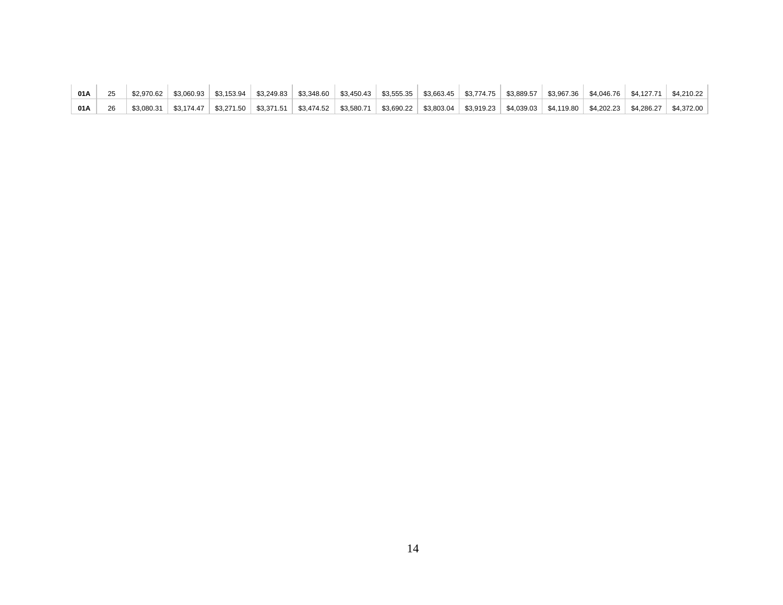| 01A |  |  | $$2,970.62$ $$3,060.93$ $$3,153.94$ $$3,249.83$ $$3,348.60$ $$3,450.43$ $$3,555.35$ $$3,663.45$ $$3,774.75$ $$3,889.57$ $$3,967.36$ $$4,046.76$ $$4,127.71$ $$4,210.22$             |  |  |  |  |  |
|-----|--|--|-------------------------------------------------------------------------------------------------------------------------------------------------------------------------------------|--|--|--|--|--|
| 01A |  |  | \$3,080.31   \$3,174.47   \$3,271.50   \$3,371.51   \$3,474.52   \$3,580.71   \$3,690.22   \$3,803.04   \$3,919.23   \$4,039.03   \$4,119.80   \$4,202.23   \$4,286.27   \$4,372.00 |  |  |  |  |  |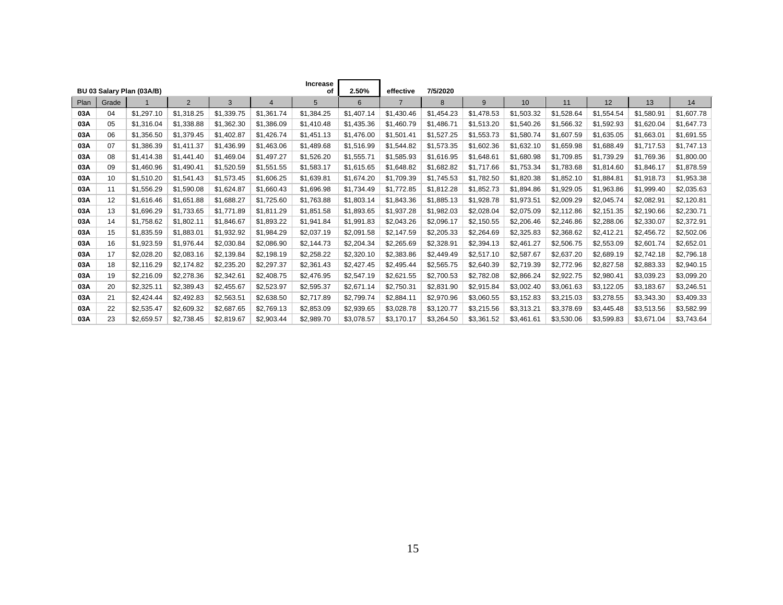|      |       | BU 03 Salary Plan (03A/B) |                |            |                | <b>Increase</b><br>οf | 2.50%      | effective  | 7/5/2020   |            |            |            |            |            |            |
|------|-------|---------------------------|----------------|------------|----------------|-----------------------|------------|------------|------------|------------|------------|------------|------------|------------|------------|
| Plan | Grade |                           | $\overline{2}$ | 3          | $\overline{4}$ | 5                     | 6          |            | 8          | 9          | 10         | 11         | 12         | 13         | 14         |
| 03A  | 04    | \$1,297.10                | \$1,318.25     | \$1,339.75 | \$1,361.74     | \$1,384.25            | \$1,407.14 | \$1,430.46 | \$1,454.23 | \$1.478.53 | \$1,503.32 | \$1,528.64 | \$1,554.54 | \$1,580.91 | \$1,607.78 |
| 03A  | 05    | \$1,316.04                | \$1,338.88     | \$1,362.30 | \$1,386.09     | \$1,410.48            | \$1,435.36 | \$1,460.79 | \$1,486.71 | \$1,513.20 | \$1,540.26 | \$1,566.32 | \$1,592.93 | \$1,620.04 | \$1,647.73 |
| 03A  | 06    | \$1,356.50                | \$1,379.45     | \$1,402.87 | \$1,426.74     | \$1,451.13            | \$1,476.00 | \$1,501.41 | \$1,527.25 | \$1,553.73 | \$1,580.74 | \$1,607.59 | \$1,635.05 | \$1,663.01 | \$1,691.55 |
| 03A  | 07    | \$1,386.39                | \$1,411.37     | \$1,436.99 | \$1,463.06     | \$1,489.68            | \$1,516.99 | \$1,544.82 | \$1,573.35 | \$1,602.36 | \$1,632.10 | \$1,659.98 | \$1,688.49 | \$1,717.53 | \$1,747.13 |
| 03A  | 08    | \$1,414.38                | \$1,441.40     | \$1,469.04 | \$1,497.27     | \$1,526.20            | \$1,555.71 | \$1,585.93 | \$1,616.95 | \$1,648.61 | \$1,680.98 | \$1,709.85 | \$1,739.29 | \$1,769.36 | \$1,800.00 |
| 03A  | 09    | \$1,460.96                | \$1,490.41     | \$1,520.59 | \$1,551.55     | \$1,583.17            | \$1,615.65 | \$1,648.82 | \$1,682.82 | \$1,717.66 | \$1,753.34 | \$1,783.68 | \$1,814.60 | \$1,846.17 | \$1,878.59 |
| 03A  | 10    | \$1,510.20                | \$1,541.43     | \$1,573.45 | \$1,606.25     | \$1,639.81            | \$1,674.20 | \$1,709.39 | \$1,745.53 | \$1,782.50 | \$1,820.38 | \$1,852.10 | \$1,884.81 | \$1,918.73 | \$1,953.38 |
| 03A  | 11    | \$1,556.29                | \$1,590.08     | \$1,624.87 | \$1,660.43     | \$1,696.98            | \$1,734.49 | \$1,772.85 | \$1,812.28 | \$1,852.73 | \$1,894.86 | \$1,929.05 | \$1,963.86 | \$1,999.40 | \$2,035.63 |
| 03A  | 12    | \$1,616.46                | \$1,651.88     | \$1,688.27 | \$1,725.60     | \$1,763.88            | \$1,803.14 | \$1,843.36 | \$1,885.13 | \$1,928.78 | \$1,973.51 | \$2,009.29 | \$2,045.74 | \$2,082.91 | \$2,120.81 |
| 03A  | 13    | \$1,696.29                | \$1,733.65     | \$1,771.89 | \$1,811.29     | \$1,851.58            | \$1,893.65 | \$1,937.28 | \$1,982.03 | \$2,028.04 | \$2,075.09 | \$2,112.86 | \$2,151.35 | \$2,190.66 | \$2,230.71 |
| 03A  | 14    | \$1,758.62                | \$1,802.11     | \$1,846.67 | \$1,893.22     | \$1,941.84            | \$1,991.83 | \$2,043.26 | \$2,096.17 | \$2,150.55 | \$2,206.46 | \$2,246.86 | \$2,288.06 | \$2,330.07 | \$2,372.91 |
| 03A  | 15    | \$1,835.59                | \$1,883.01     | \$1,932.92 | \$1,984.29     | \$2,037.19            | \$2,091.58 | \$2,147.59 | \$2,205.33 | \$2,264.69 | \$2,325.83 | \$2,368.62 | \$2,412.21 | \$2,456.72 | \$2,502.06 |
| 03A  | 16    | \$1,923.59                | \$1,976.44     | \$2,030.84 | \$2,086.90     | \$2,144.73            | \$2,204.34 | \$2,265.69 | \$2,328.91 | \$2,394.13 | \$2,461.27 | \$2,506.75 | \$2,553.09 | \$2,601.74 | \$2,652.01 |
| 03A  | 17    | \$2,028.20                | \$2,083.16     | \$2,139.84 | \$2,198.19     | \$2,258.22            | \$2,320.10 | \$2,383.86 | \$2,449.49 | \$2,517.10 | \$2,587.67 | \$2,637.20 | \$2,689.19 | \$2,742.18 | \$2,796.18 |
| 03A  | 18    | \$2,116.29                | \$2,174.82     | \$2,235.20 | \$2,297.37     | \$2,361.43            | \$2,427.45 | \$2,495.44 | \$2,565.75 | \$2,640.39 | \$2,719.39 | \$2,772.96 | \$2,827.58 | \$2,883.33 | \$2,940.15 |
| 03A  | 19    | \$2,216.09                | \$2,278.36     | \$2,342.61 | \$2,408.75     | \$2,476.95            | \$2,547.19 | \$2,621.55 | \$2,700.53 | \$2,782.08 | \$2,866.24 | \$2,922.75 | \$2,980.41 | \$3,039.23 | \$3,099.20 |
| 03A  | 20    | \$2,325.11                | \$2,389.43     | \$2,455.67 | \$2,523.97     | \$2,595.37            | \$2,671.14 | \$2,750.31 | \$2,831.90 | \$2,915.84 | \$3,002.40 | \$3,061.63 | \$3,122.05 | \$3,183.67 | \$3,246.51 |
| 03A  | 21    | \$2,424.44                | \$2,492.83     | \$2,563.51 | \$2,638.50     | \$2.717.89            | \$2,799.74 | \$2,884.11 | \$2,970.96 | \$3.060.55 | \$3,152.83 | \$3,215.03 | \$3,278.55 | \$3,343.30 | \$3,409.33 |
| 03A  | 22    | \$2,535.47                | \$2,609.32     | \$2,687.65 | \$2,769.13     | \$2,853.09            | \$2,939.65 | \$3,028.78 | \$3,120.77 | \$3,215.56 | \$3,313.21 | \$3,378.69 | \$3,445.48 | \$3,513.56 | \$3,582.99 |
| 03A  | 23    | \$2,659.57                | \$2,738.45     | \$2.819.67 | \$2.903.44     | \$2.989.70            | \$3.078.57 | \$3.170.17 | \$3,264.50 | \$3,361.52 | \$3,461.61 | \$3,530.06 | \$3,599.83 | \$3.671.04 | \$3,743.64 |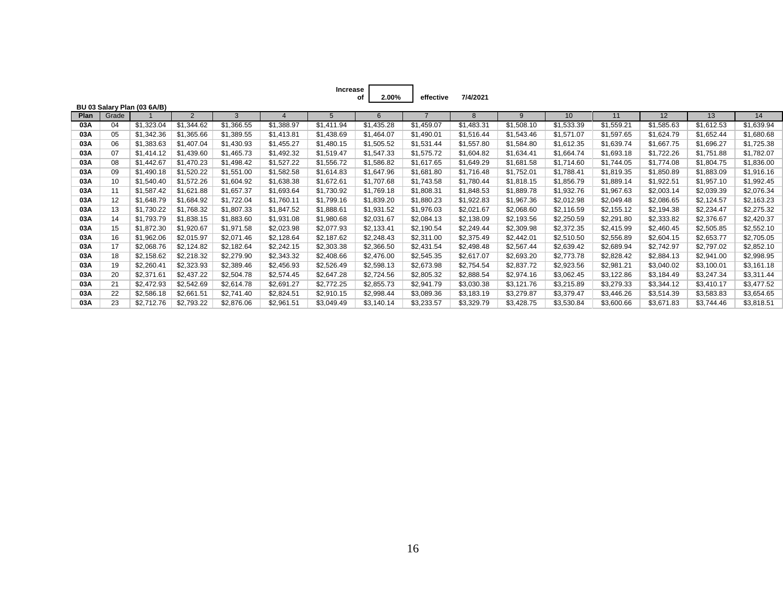**Increase** of

**of effective 7/4/2021 2.00%**

|      |       | BU 03 Salary Plan (03 6A/B) |                |            |            |            |            |            |            |            |            |            |            |            |            |
|------|-------|-----------------------------|----------------|------------|------------|------------|------------|------------|------------|------------|------------|------------|------------|------------|------------|
| Plan | Grade |                             | $\overline{2}$ | 3          |            | 5          | 6          |            | 8          | 9          | 10         | 11         | 12         | 13         | 14         |
| 03A  | 04    | \$1,323.04                  | \$1,344.62     | \$1,366.55 | \$1,388.97 | \$1,411.94 | \$1,435.28 | \$1,459.07 | \$1,483.31 | \$1,508.10 | \$1,533.39 | \$1,559.21 | \$1,585.63 | \$1,612.53 | \$1,639.94 |
| 03A  | 05    | \$1,342.36                  | \$1,365.66     | \$1,389.55 | \$1,413.81 | \$1,438.69 | \$1,464.07 | \$1,490.01 | \$1,516.44 | \$1,543.46 | \$1,571.07 | \$1,597.65 | \$1,624.79 | \$1,652.44 | \$1,680.68 |
| 03A  | 06    | \$1,383.63                  | \$1,407.04     | \$1,430.93 | \$1,455.27 | \$1,480.15 | \$1,505.52 | \$1,531.44 | \$1,557.80 | \$1,584.80 | \$1,612.35 | \$1,639.74 | \$1,667.75 | \$1,696.27 | \$1,725.38 |
| 03A  | 07    | \$1,414.12                  | \$1,439.60     | \$1,465.73 | \$1,492.32 | \$1,519.47 | \$1,547.33 | \$1,575.72 | \$1,604.82 | \$1,634.41 | \$1,664.74 | \$1,693.18 | \$1,722.26 | \$1,751.88 | \$1,782.07 |
| 03A  | 08    | \$1,442.67                  | \$1,470.23     | \$1,498.42 | \$1,527.22 | \$1,556.72 | \$1,586.82 | \$1,617.65 | \$1,649.29 | \$1,681.58 | \$1,714.60 | \$1,744.05 | \$1,774.08 | \$1,804.75 | \$1,836.00 |
| 03A  | 09    | \$1,490.18                  | \$1,520.22     | \$1,551.00 | \$1,582.58 | \$1,614.83 | \$1,647.96 | \$1,681.80 | \$1,716.48 | \$1,752.01 | \$1,788.41 | \$1,819.35 | \$1,850.89 | \$1,883.09 | \$1,916.16 |
| 03A  | 10    | \$1,540.40                  | \$1,572.26     | \$1,604.92 | \$1,638.38 | \$1,672.61 | \$1,707.68 | \$1,743.58 | \$1,780.44 | \$1,818.15 | \$1,856.79 | \$1,889.14 | \$1,922.51 | \$1,957.10 | \$1,992.45 |
| 03A  | 11    | \$1,587.42                  | \$1,621.88     | \$1,657.37 | \$1,693.64 | \$1,730.92 | \$1,769.18 | \$1,808.31 | \$1,848.53 | \$1,889.78 | \$1,932.76 | \$1,967.63 | \$2,003.14 | \$2,039.39 | \$2,076.34 |
| 03A  | 12    | \$1,648.79                  | \$1,684.92     | \$1,722.04 | \$1,760.11 | \$1,799.16 | \$1,839.20 | \$1,880.23 | \$1,922.83 | \$1,967.36 | \$2,012.98 | \$2,049.48 | \$2,086.65 | \$2,124.57 | \$2,163.23 |
| 03A  | 13    | \$1,730.22                  | \$1,768.32     | \$1,807.33 | \$1,847.52 | \$1,888.61 | \$1,931.52 | \$1,976.03 | \$2,021.67 | \$2,068.60 | \$2,116.59 | \$2,155.12 | \$2,194.38 | \$2,234.47 | \$2,275.32 |
| 03A  | 14    | \$1,793.79                  | \$1,838.15     | \$1,883.60 | \$1,931.08 | \$1,980.68 | \$2,031.67 | \$2,084.13 | \$2,138.09 | \$2,193.56 | \$2,250.59 | \$2,291.80 | \$2,333.82 | \$2,376.67 | \$2,420.37 |
| 03A  | 15    | \$1,872.30                  | \$1,920.67     | \$1,971.58 | \$2,023.98 | \$2,077.93 | \$2,133.41 | \$2,190.54 | \$2,249.44 | \$2,309.98 | \$2,372.35 | \$2,415.99 | \$2,460.45 | \$2,505.85 | \$2,552.10 |
| 03A  | 16    | \$1,962.06                  | \$2,015.97     | \$2,071.46 | \$2,128.64 | \$2,187.62 | \$2,248.43 | \$2,311.00 | \$2,375.49 | \$2,442.01 | \$2,510.50 | \$2,556.89 | \$2,604.15 | \$2,653.77 | \$2,705.05 |
| 03A  | 17    | \$2,068.76                  | \$2,124.82     | \$2,182.64 | \$2,242.15 | \$2,303.38 | \$2,366.50 | \$2,431.54 | \$2,498.48 | \$2,567.44 | \$2,639.42 | \$2,689.94 | \$2,742.97 | \$2,797.02 | \$2,852.10 |
| 03A  | 18    | \$2,158.62                  | \$2,218.32     | \$2,279.90 | \$2,343.32 | \$2,408.66 | \$2,476.00 | \$2,545.35 | \$2,617.07 | \$2,693.20 | \$2,773.78 | \$2,828.42 | \$2,884.13 | \$2,941.00 | \$2,998.95 |
| 03A  | 19    | \$2,260.41                  | \$2,323.93     | \$2,389.46 | \$2,456.93 | \$2,526.49 | \$2,598.13 | \$2,673.98 | \$2,754.54 | \$2,837.72 | \$2,923.56 | \$2,981.21 | \$3,040.02 | \$3,100.01 | \$3,161.18 |
| 03A  | 20    | \$2,371.61                  | \$2,437.22     | \$2,504.78 | \$2,574.45 | \$2,647.28 | \$2,724.56 | \$2,805.32 | \$2,888.54 | \$2,974.16 | \$3,062.45 | \$3,122.86 | \$3,184.49 | \$3,247.34 | \$3,311.44 |
| 03A  | 21    | \$2,472.93                  | \$2,542.69     | \$2,614.78 | \$2,691.27 | \$2,772.25 | \$2,855.73 | \$2,941.79 | \$3,030.38 | \$3,121.76 | \$3,215.89 | \$3,279.33 | \$3,344.12 | \$3,410.17 | \$3,477.52 |
| 03A  | 22    | \$2,586.18                  | \$2,661.51     | \$2,741.40 | \$2,824.51 | \$2,910.15 | \$2,998.44 | \$3,089.36 | \$3,183.19 | \$3,279.87 | \$3,379.47 | \$3,446.26 | \$3,514.39 | \$3,583.83 | \$3,654.65 |
| 03A  | 23    | \$2,712.76                  | \$2,793.22     | \$2,876.06 | \$2,961.51 | \$3,049.49 | \$3,140.14 | \$3,233.57 | \$3,329.79 | \$3,428.75 | \$3,530.84 | \$3,600.66 | \$3,671.83 | \$3,744.46 | \$3,818.51 |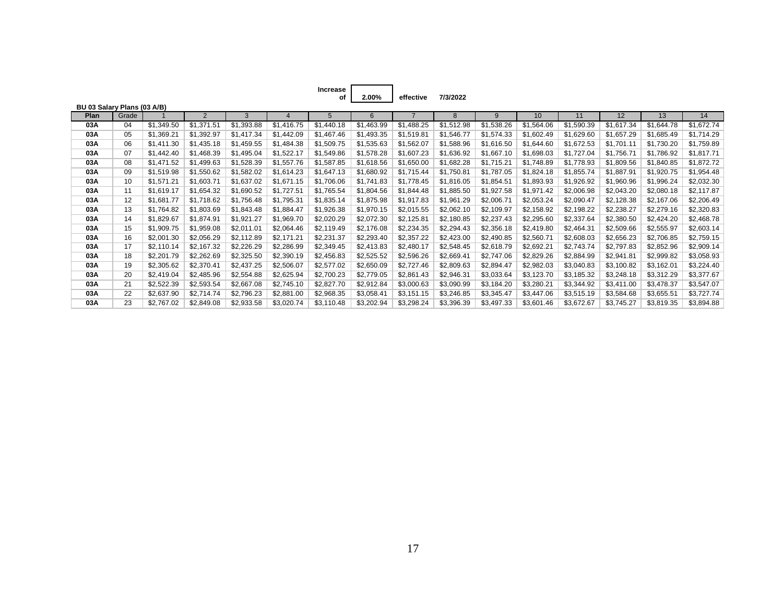| Increase |       |           |          |
|----------|-------|-----------|----------|
| οf       | 2.00% | effective | 7/3/2022 |

| BU 03 Salary Plans (03 A/B) |       |            |                |            |            |            |            |            |            |            |            |            |            |            |            |
|-----------------------------|-------|------------|----------------|------------|------------|------------|------------|------------|------------|------------|------------|------------|------------|------------|------------|
| <b>Plan</b>                 | Grade |            | $\overline{2}$ | 3          |            | 5          | 6          |            | 8          | 9          | 10         | 11         | 12         | 13         | 14         |
| 03A                         | 04    | \$1,349.50 | \$1,371.51     | \$1,393.88 | \$1,416.75 | \$1,440.18 | \$1,463.99 | \$1,488.25 | \$1,512.98 | \$1,538.26 | \$1,564.06 | \$1,590.39 | \$1,617.34 | \$1,644.78 | \$1,672.74 |
| 03A                         | 05    | \$1,369.21 | \$1,392.97     | \$1,417.34 | \$1,442.09 | \$1,467.46 | \$1,493.35 | \$1,519.81 | \$1,546.77 | \$1,574.33 | \$1,602.49 | \$1,629.60 | \$1,657.29 | \$1,685.49 | \$1,714.29 |
| 03A                         | 06    | \$1,411.30 | \$1,435.18     | \$1,459.55 | \$1,484.38 | \$1,509.75 | \$1,535.63 | \$1,562.07 | \$1,588.96 | \$1,616.50 | \$1,644.60 | \$1,672.53 | \$1,701.11 | \$1,730.20 | \$1,759.89 |
| 03A                         | 07    | \$1,442.40 | \$1,468.39     | \$1,495.04 | \$1,522.17 | \$1,549.86 | \$1,578.28 | \$1,607.23 | \$1,636.92 | \$1,667.10 | \$1,698.03 | \$1,727.04 | \$1,756.71 | \$1,786.92 | \$1,817.71 |
| 03A                         | 08    | \$1,471.52 | \$1,499.63     | \$1,528.39 | \$1,557.76 | \$1,587.85 | \$1,618.56 | \$1,650.00 | \$1,682.28 | \$1,715.21 | \$1,748.89 | \$1,778.93 | \$1,809.56 | \$1,840.85 | \$1,872.72 |
| 03A                         | 09    | \$1,519.98 | \$1,550.62     | \$1,582.02 | \$1,614.23 | \$1,647.13 | \$1,680.92 | \$1,715.44 | \$1,750.81 | \$1,787.05 | \$1,824.18 | \$1,855.74 | \$1,887.91 | \$1,920.75 | \$1,954.48 |
| 03A                         | 10    | \$1,571.21 | \$1,603.71     | \$1,637.02 | \$1,671.15 | \$1,706.06 | \$1,741.83 | \$1,778.45 | \$1,816.05 | \$1,854.51 | \$1,893.93 | \$1,926.92 | \$1,960.96 | \$1,996.24 | \$2,032.30 |
| 03A                         | 11    | \$1,619.17 | \$1,654.32     | \$1,690.52 | \$1,727.51 | \$1,765.54 | \$1,804.56 | \$1,844.48 | \$1,885.50 | \$1,927.58 | \$1,971.42 | \$2,006.98 | \$2,043.20 | \$2,080.18 | \$2,117.87 |
| 03A                         | 12    | \$1,681.77 | \$1,718.62     | \$1,756.48 | \$1,795.31 | \$1,835.14 | \$1,875.98 | \$1,917.83 | \$1,961.29 | \$2,006.71 | \$2,053.24 | \$2,090.47 | \$2,128.38 | \$2,167.06 | \$2,206.49 |
| 03A                         | 13    | \$1,764.82 | \$1,803.69     | \$1,843.48 | \$1,884.47 | \$1,926.38 | \$1,970.15 | \$2,015.55 | \$2,062.10 | \$2,109.97 | \$2,158.92 | \$2,198.22 | \$2,238.27 | \$2,279.16 | \$2,320.83 |
| 03A                         | 14    | \$1,829.67 | \$1,874.91     | \$1,921.27 | \$1,969.70 | \$2,020.29 | \$2,072.30 | \$2,125.81 | \$2,180.85 | \$2,237.43 | \$2,295.60 | \$2,337.64 | \$2,380.50 | \$2,424.20 | \$2,468.78 |
| 03A                         | 15    | \$1,909.75 | \$1,959.08     | \$2,011.01 | \$2,064.46 | \$2,119.49 | \$2,176.08 | \$2,234.35 | \$2,294.43 | \$2,356.18 | \$2,419.80 | \$2,464.31 | \$2,509.66 | \$2,555.97 | \$2,603.14 |
| 03A                         | 16    | \$2,001.30 | \$2,056.29     | \$2,112.89 | \$2,171.21 | \$2,231.37 | \$2,293.40 | \$2,357.22 | \$2,423.00 | \$2,490.85 | \$2,560.71 | \$2,608.03 | \$2,656.23 | \$2,706.85 | \$2,759.15 |
| 03A                         | 17    | \$2,110.14 | \$2,167.32     | \$2,226.29 | \$2,286.99 | \$2,349.45 | \$2,413.83 | \$2,480.17 | \$2,548.45 | \$2,618.79 | \$2,692.21 | \$2,743.74 | \$2,797.83 | \$2,852.96 | \$2,909.14 |
| 03A                         | 18    | \$2,201.79 | \$2,262.69     | \$2,325.50 | \$2,390.19 | \$2,456.83 | \$2,525.52 | \$2,596.26 | \$2,669.41 | \$2,747.06 | \$2,829.26 | \$2,884.99 | \$2,941.81 | \$2,999.82 | \$3,058.93 |
| 03A                         | 19    | \$2,305.62 | \$2,370.41     | \$2,437.25 | \$2,506.07 | \$2,577.02 | \$2,650.09 | \$2,727.46 | \$2,809.63 | \$2,894.47 | \$2,982.03 | \$3,040.83 | \$3,100.82 | \$3,162.01 | \$3,224.40 |
| 03A                         | 20    | \$2,419.04 | \$2,485.96     | \$2,554.88 | \$2,625.94 | \$2,700.23 | \$2,779.05 | \$2,861.43 | \$2,946.31 | \$3,033.64 | \$3,123.70 | \$3,185.32 | \$3,248.18 | \$3,312.29 | \$3,377.67 |
| 03A                         | 21    | \$2,522.39 | \$2,593.54     | \$2,667.08 | \$2,745.10 | \$2,827.70 | \$2,912.84 | \$3,000.63 | \$3,090.99 | \$3,184.20 | \$3,280.21 | \$3,344.92 | \$3,411.00 | \$3,478.37 | \$3,547.07 |
| 03A                         | 22    | \$2,637.90 | \$2,714.74     | \$2,796.23 | \$2,881.00 | \$2,968.35 | \$3,058.41 | \$3,151.15 | \$3,246.85 | \$3,345.47 | \$3,447.06 | \$3,515.19 | \$3,584.68 | \$3,655.51 | \$3,727.74 |
| 03A                         | 23    | \$2,767.02 | \$2,849.08     | \$2,933.58 | \$3,020.74 | \$3,110.48 | \$3,202.94 | \$3,298.24 | \$3,396.39 | \$3,497.33 | \$3,601.46 | \$3,672.67 | \$3,745.27 | \$3,819.35 | \$3,894.88 |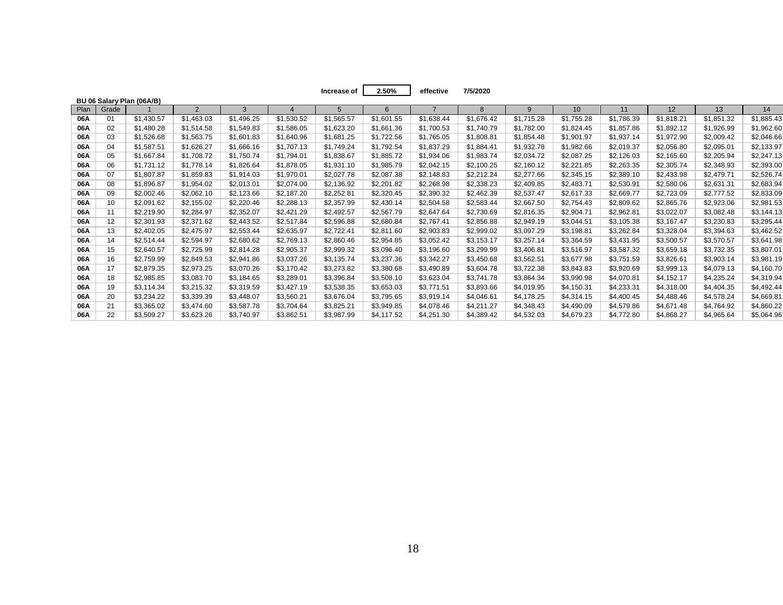|      |       |                           |                |            |            | Increase of     | 2.50%      | effective  | 7/5/2020     |            |            |            |            |            |            |
|------|-------|---------------------------|----------------|------------|------------|-----------------|------------|------------|--------------|------------|------------|------------|------------|------------|------------|
|      |       | BU 06 Salary Plan (06A/B) |                |            |            |                 |            |            |              |            |            |            |            |            |            |
| Plan | Grade |                           | $\overline{2}$ | 3          |            | $5\overline{5}$ |            |            | $\mathsf{R}$ | 9          | 10         | 11         | 12         | 13         | 14         |
| 06A  | 01    | \$1,430.57                | \$1,463.03     | \$1,496.25 | \$1,530.52 | \$1,565.57      | \$1,601.55 | \$1,638.44 | \$1,676.42   | \$1,715.28 | \$1,755.28 | \$1,786.39 | \$1,818.21 | \$1,851.32 | \$1,885.43 |
| 06A  | 02    | \$1,480.28                | \$1,514.58     | \$1,549.83 | \$1,586.05 | \$1,623.20      | \$1,661.36 | \$1,700.53 | \$1,740.79   | \$1,782.00 | \$1,824.45 | \$1,857.86 | \$1,892.12 | \$1,926.99 | \$1,962.60 |
| 06A  | 03    | \$1,526.68                | \$1,563.75     | \$1,601.83 | \$1,640.96 | \$1,681.25      | \$1,722.56 | \$1,765.05 | \$1,808.81   | \$1,854.48 | \$1,901.97 | \$1,937.14 | \$1,972.90 | \$2,009.42 | \$2,046.66 |
| 06A  | 04    | \$1,587.51                | \$1,626.27     | \$1,666.16 | \$1,707.13 | \$1,749.24      | \$1,792.54 | \$1,837.29 | \$1,884.41   | \$1,932.78 | \$1,982.66 | \$2,019.37 | \$2,056.80 | \$2,095.01 | \$2,133.97 |
| 06A  | 05    | \$1,667.84                | \$1.708.72     | \$1,750.74 | \$1,794.01 | \$1,838.67      | \$1,885.72 | \$1,934.06 | \$1,983.74   | \$2,034.72 | \$2,087.25 | \$2,126.03 | \$2,165.60 | \$2,205.94 | \$2,247.13 |
| 06A  | 06    | \$1,731.12                | \$1,778.14     | \$1,826.64 | \$1,878.05 | \$1,931.10      | \$1,985.79 | \$2,042.15 | \$2,100.25   | \$2,160.12 | \$2,221.85 | \$2,263.35 | \$2,305.74 | \$2,348.93 | \$2,393.00 |
| 06A  | 07    | \$1,807.87                | \$1,859.83     | \$1,914.03 | \$1,970.01 | \$2,027.78      | \$2,087.38 | \$2,148.83 | \$2,212.24   | \$2,277.66 | \$2,345.15 | \$2,389.10 | \$2,433.98 | \$2,479.71 | \$2,526.74 |
| 06A  | 08    | \$1,896.87                | \$1,954.02     | \$2,013.01 | \$2,074.00 | \$2,136.92      | \$2,201.82 | \$2,268.98 | \$2,338.23   | \$2,409.85 | \$2,483.71 | \$2,530.91 | \$2,580.06 | \$2,631.31 | \$2,683.94 |
| 06A  | 09    | \$2,002.46                | \$2,062.10     | \$2,123.66 | \$2,187.20 | \$2,252.81      | \$2,320.45 | \$2,390.32 | \$2,462.39   | \$2,537.47 | \$2,617.33 | \$2,669.77 | \$2,723.09 | \$2,777.52 | \$2,833.09 |
| 06A  | 10    | \$2,091.62                | \$2,155.02     | \$2,220.46 | \$2,288.13 | \$2,357.99      | \$2,430.14 | \$2,504.58 | \$2,583.44   | \$2,667.50 | \$2,754.43 | \$2,809.62 | \$2,865.76 | \$2,923.06 | \$2,981.53 |
| 06A  | 11    | \$2,219.90                | \$2,284.97     | \$2,352.07 | \$2,421.29 | \$2,492.57      | \$2,567.79 | \$2,647.64 | \$2,730.69   | \$2,816.35 | \$2,904.71 | \$2,962.81 | \$3,022.07 | \$3,082.48 | \$3,144.13 |
| 06A  | 12    | \$2,301.93                | \$2,371.62     | \$2,443.52 | \$2,517.84 | \$2,596.88      | \$2,680.84 | \$2,767.41 | \$2,856.88   | \$2,949.19 | \$3,044.51 | \$3,105.38 | \$3,167.47 | \$3,230.83 | \$3,295.44 |
| 06A  | 13    | \$2,402.05                | \$2,475.97     | \$2,553.44 | \$2,635.97 | \$2,722.41      | \$2,811.60 | \$2,903.83 | \$2,999.02   | \$3,097.29 | \$3,198.81 | \$3,262.84 | \$3,328.04 | \$3,394.63 | \$3,462.52 |
| 06A  | 14    | \$2,514.44                | \$2,594.97     | \$2,680.62 | \$2,769.13 | \$2,860.46      | \$2,954.85 | \$3,052.42 | \$3,153.17   | \$3,257.14 | \$3,364.59 | \$3,431.95 | \$3,500.57 | \$3,570.57 | \$3,641.98 |
| 06A  | 15    | \$2,640.57                | \$2,725.99     | \$2,814.28 | \$2,905.37 | \$2,999.32      | \$3,096.40 | \$3,196.60 | \$3,299.99   | \$3,406.81 | \$3,516.97 | \$3,587.32 | \$3,659.18 | \$3,732.35 | \$3,807.01 |
| 06A  | 16    | \$2,759.99                | \$2,849.53     | \$2,941.86 | \$3,037.26 | \$3,135.74      | \$3,237.36 | \$3,342.27 | \$3,450.68   | \$3,562.51 | \$3,677.98 | \$3,751.59 | \$3,826.61 | \$3,903.14 | \$3,981.19 |
| 06A  | 17    | \$2,879.35                | \$2,973.25     | \$3,070.26 | \$3,170.42 | \$3,273.82      | \$3,380.68 | \$3,490.89 | \$3,604.78   | \$3,722.38 | \$3,843.83 | \$3,920.69 | \$3,999.13 | \$4,079.13 | \$4,160.70 |
| 06A  | 18    | \$2,985.85                | \$3,083.70     | \$3,184.65 | \$3,289.01 | \$3,396.84      | \$3,508.10 | \$3,623.04 | \$3,741.78   | \$3,864.34 | \$3,990.98 | \$4,070.81 | \$4,152.17 | \$4,235.24 | \$4,319.94 |
| 06A  | 19    | \$3,114.34                | \$3,215.32     | \$3,319.59 | \$3,427.19 | \$3,538.35      | \$3,653.03 | \$3,771.51 | \$3,893.66   | \$4,019.95 | \$4,150.31 | \$4,233.31 | \$4,318.00 | \$4,404.35 | \$4,492.44 |
| 06A  | 20    | \$3,234.22                | \$3,339.39     | \$3,448.07 | \$3,560.21 | \$3,676.04      | \$3,795.65 | \$3,919.14 | \$4,046.61   | \$4,178.25 | \$4,314.15 | \$4,400.45 | \$4,488.46 | \$4,578.24 | \$4,669.81 |
| 06A  | 21    | \$3,365.02                | \$3.474.60     | \$3,587.78 | \$3,704.64 | \$3,825.21      | \$3,949.85 | \$4,078.46 | \$4,211.27   | \$4,348.43 | \$4,490.09 | \$4,579.86 | \$4,671.48 | \$4.764.92 | \$4,860.22 |
| 06A  | 22    | \$3,509.27                | \$3,623.26     | \$3,740.97 | \$3,862.51 | \$3,987.99      | \$4,117.52 | \$4,251.30 | \$4,389.42   | \$4,532.03 | \$4,679.23 | \$4,772.80 | \$4,868.27 | \$4,965.64 | \$5,064.96 |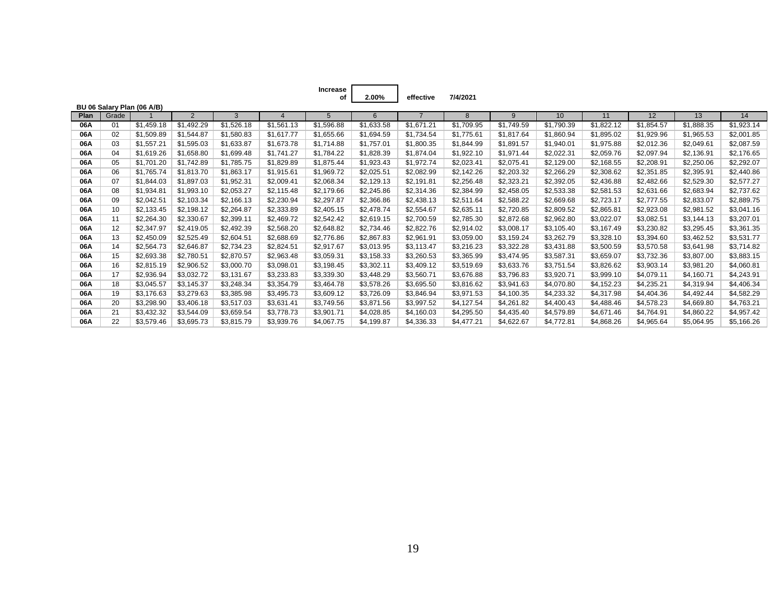| Increase |          |
|----------|----------|
| οf       | $2.00\%$ |

**of effective 7/4/2021**

|      |       | BU 06 Salary Plan (06 A/B) |            |            |            |            |            |            |            |            |            |            |            |            |            |
|------|-------|----------------------------|------------|------------|------------|------------|------------|------------|------------|------------|------------|------------|------------|------------|------------|
| Plan | Grade |                            | 2          | 3          | 4          | 5          | 6          |            | 8          | 9          | 10         | 11         | 12         | 13         | 14         |
| 06A  | 01    | \$1,459.18                 | \$1,492.29 | \$1,526.18 | \$1,561.13 | \$1,596.88 | \$1,633.58 | \$1,671.21 | \$1,709.95 | \$1,749.59 | \$1,790.39 | \$1,822.12 | \$1,854.57 | \$1,888.35 | \$1,923.14 |
| 06A  | 02    | \$1,509.89                 | \$1,544.87 | \$1,580.83 | \$1,617.77 | \$1,655.66 | \$1,694.59 | \$1,734.54 | \$1,775.61 | \$1,817.64 | \$1,860.94 | \$1,895.02 | \$1,929.96 | \$1,965.53 | \$2,001.85 |
| 06A  | 03    | \$1,557.21                 | \$1,595.03 | \$1,633.87 | \$1,673.78 | \$1,714.88 | \$1,757.01 | \$1,800.35 | \$1,844.99 | \$1,891.57 | \$1,940.01 | \$1,975.88 | \$2,012.36 | \$2,049.61 | \$2,087.59 |
| 06A  | 04    | \$1,619.26                 | \$1,658.80 | \$1,699.48 | \$1,741.27 | \$1,784.22 | \$1,828.39 | \$1,874.04 | \$1,922.10 | \$1,971.44 | \$2,022.31 | \$2,059.76 | \$2,097.94 | \$2,136.91 | \$2.176.65 |
| 06A  | 05    | \$1,701.20                 | \$1,742.89 | \$1,785.75 | \$1,829.89 | \$1,875.44 | \$1,923.43 | \$1,972.74 | \$2,023.41 | \$2,075.41 | \$2,129.00 | \$2,168.55 | \$2,208.91 | \$2,250.06 | \$2,292.07 |
| 06A  | 06    | \$1.765.74                 | \$1,813.70 | \$1,863.17 | \$1,915.61 | \$1,969.72 | \$2,025.51 | \$2,082.99 | \$2,142.26 | \$2,203.32 | \$2,266.29 | \$2,308.62 | \$2,351.85 | \$2,395.91 | \$2,440.86 |
| 06A  | 07    | \$1,844.03                 | \$1,897.03 | \$1,952.31 | \$2,009.41 | \$2,068.34 | \$2,129.13 | \$2,191.81 | \$2,256.48 | \$2,323.21 | \$2,392.05 | \$2,436.88 | \$2,482.66 | \$2,529.30 | \$2,577.27 |
| 06A  | 08    | \$1,934.81                 | \$1,993.10 | \$2,053.27 | \$2,115.48 | \$2,179.66 | \$2,245.86 | \$2,314.36 | \$2,384.99 | \$2,458.05 | \$2,533.38 | \$2,581.53 | \$2,631.66 | \$2,683.94 | \$2,737.62 |
| 06A  | 09    | \$2,042.51                 | \$2,103.34 | \$2,166.13 | \$2,230.94 | \$2,297.87 | \$2,366.86 | \$2,438.13 | \$2,511.64 | \$2,588.22 | \$2,669.68 | \$2,723.17 | \$2,777.55 | \$2,833.07 | \$2,889.75 |
| 06A  | 10    | \$2,133.45                 | \$2,198.12 | \$2,264.87 | \$2,333.89 | \$2,405.15 | \$2,478.74 | \$2,554.67 | \$2,635.11 | \$2,720.85 | \$2,809.52 | \$2,865.81 | \$2,923.08 | \$2,981.52 | \$3,041.16 |
| 06A  | 11    | \$2,264.30                 | \$2,330.67 | \$2,399.11 | \$2,469.72 | \$2,542.42 | \$2,619.15 | \$2,700.59 | \$2,785.30 | \$2,872.68 | \$2,962.80 | \$3,022.07 | \$3,082.51 | \$3,144.13 | \$3,207.01 |
| 06A  | 12    | \$2,347.97                 | \$2,419.05 | \$2,492.39 | \$2,568.20 | \$2,648.82 | \$2,734.46 | \$2,822.76 | \$2,914.02 | \$3,008.17 | \$3,105.40 | \$3,167.49 | \$3,230.82 | \$3,295.45 | \$3,361.35 |
| 06A  | 13    | \$2,450.09                 | \$2,525.49 | \$2.604.51 | \$2,688.69 | \$2,776.86 | \$2,867.83 | \$2,961.91 | \$3,059.00 | \$3,159.24 | \$3,262.79 | \$3,328.10 | \$3,394.60 | \$3,462.52 | \$3,531.77 |
| 06A  | 14    | \$2,564.73                 | \$2,646.87 | \$2.734.23 | \$2,824.51 | \$2,917.67 | \$3,013.95 | \$3,113.47 | \$3,216.23 | \$3,322.28 | \$3,431.88 | \$3,500.59 | \$3,570.58 | \$3,641.98 | \$3,714.82 |
| 06A  | 15    | \$2,693.38                 | \$2,780.51 | \$2,870.57 | \$2,963.48 | \$3,059.31 | \$3,158.33 | \$3,260.53 | \$3,365.99 | \$3,474.95 | \$3,587.31 | \$3,659.07 | \$3,732.36 | \$3,807.00 | \$3,883.15 |
| 06A  | 16    | \$2,815.19                 | \$2,906.52 | \$3,000.70 | \$3,098.01 | \$3,198.45 | \$3,302.11 | \$3,409.12 | \$3,519.69 | \$3,633.76 | \$3,751.54 | \$3,826.62 | \$3,903.14 | \$3,981.20 | \$4,060.81 |
| 06A  | 17    | \$2,936.94                 | \$3,032.72 | \$3,131.67 | \$3,233.83 | \$3,339.30 | \$3,448.29 | \$3,560.71 | \$3,676.88 | \$3,796.83 | \$3,920.71 | \$3,999.10 | \$4,079.11 | \$4,160.71 | \$4,243.91 |
| 06A  | 18    | \$3,045.57                 | \$3,145.37 | \$3,248.34 | \$3,354.79 | \$3,464.78 | \$3,578.26 | \$3,695.50 | \$3,816.62 | \$3,941.63 | \$4,070.80 | \$4,152.23 | \$4,235.21 | \$4,319.94 | \$4,406.34 |
| 06A  | 19    | \$3,176.63                 | \$3,279.63 | \$3,385.98 | \$3,495.73 | \$3,609.12 | \$3,726.09 | \$3,846.94 | \$3,971.53 | \$4,100.35 | \$4,233.32 | \$4,317.98 | \$4,404.36 | \$4,492.44 | \$4,582.29 |
| 06A  | 20    | \$3,298.90                 | \$3,406.18 | \$3,517.03 | \$3,631.41 | \$3,749.56 | \$3,871.56 | \$3,997.52 | \$4,127.54 | \$4,261.82 | \$4,400.43 | \$4,488.46 | \$4,578.23 | \$4,669.80 | \$4,763.21 |
| 06A  | 21    | \$3,432.32                 | \$3,544.09 | \$3.659.54 | \$3,778.73 | \$3,901.71 | \$4,028.85 | \$4,160.03 | \$4,295.50 | \$4,435.40 | \$4,579.89 | \$4,671.46 | \$4.764.91 | \$4,860.22 | \$4,957.42 |
| 06A  | 22    | \$3,579.46                 | \$3,695.73 | \$3,815.79 | \$3,939.76 | \$4,067.75 | \$4,199.87 | \$4,336.33 | \$4,477.21 | \$4,622.67 | \$4,772.81 | \$4,868.26 | \$4,965.64 | \$5,064.95 | \$5,166.26 |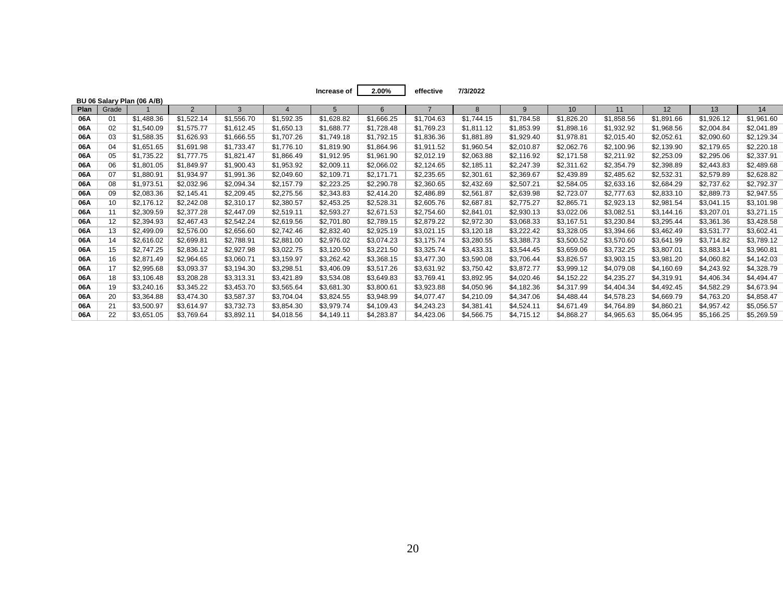**Increase of effective 7/3/2022 2.00%**

|      |       | BU 06 Salary Plan (06 A/B) |            |            |            |            |            |            |              |              |            |            |            |            |            |
|------|-------|----------------------------|------------|------------|------------|------------|------------|------------|--------------|--------------|------------|------------|------------|------------|------------|
| Plan | Grade |                            | 2          | 3          |            |            | 6          |            | $\mathsf{R}$ | $\mathbf{q}$ | 10         | 11         | 12         | 13         | 14         |
| 06A  | 01    | \$1,488.36                 | \$1,522.14 | \$1,556.70 | \$1,592.35 | \$1,628.82 | \$1,666.25 | \$1,704.63 | \$1,744.15   | \$1,784.58   | \$1,826.20 | \$1,858.56 | \$1,891.66 | \$1,926.12 | \$1,961.60 |
| 06A  | 02    | \$1,540.09                 | \$1,575.77 | \$1,612.45 | \$1,650.13 | \$1,688.77 | \$1,728.48 | \$1,769.23 | \$1,811.12   | \$1,853.99   | \$1,898.16 | \$1,932.92 | \$1,968.56 | \$2,004.84 | \$2,041.89 |
| 06A  | 03    | \$1,588.35                 | \$1,626.93 | \$1,666.55 | \$1,707.26 | \$1,749.18 | \$1,792.15 | \$1,836.36 | \$1,881.89   | \$1,929.40   | \$1,978.81 | \$2,015.40 | \$2,052.61 | \$2,090.60 | \$2,129.34 |
| 06A  | 04    | \$1,651.65                 | \$1.691.98 | \$1,733.47 | \$1,776.10 | \$1,819.90 | \$1,864.96 | \$1,911.52 | \$1,960.54   | \$2,010.87   | \$2,062.76 | \$2,100.96 | \$2,139.90 | \$2,179.65 | \$2,220.18 |
| 06A  | 05    | \$1,735.22                 | \$1,777.75 | \$1,821.47 | \$1,866.49 | \$1,912.95 | \$1,961.90 | \$2,012.19 | \$2,063.88   | \$2,116.92   | \$2,171.58 | \$2,211.92 | \$2,253.09 | \$2,295.06 | \$2,337.91 |
| 06A  | 06    | \$1,801.05                 | \$1,849.97 | \$1,900.43 | \$1,953.92 | \$2,009.11 | \$2,066.02 | \$2,124.65 | \$2,185.11   | \$2,247.39   | \$2,311.62 | \$2,354.79 | \$2,398.89 | \$2,443.83 | \$2,489.68 |
| 06A  | 07    | \$1,880.91                 | \$1,934.97 | \$1,991.36 | \$2,049.60 | \$2,109.71 | \$2,171.71 | \$2,235.65 | \$2,301.61   | \$2,369.67   | \$2,439.89 | \$2,485.62 | \$2,532.31 | \$2,579.89 | \$2,628.82 |
| 06A  | 08    | \$1,973.51                 | \$2,032.96 | \$2,094.34 | \$2,157.79 | \$2,223.25 | \$2,290.78 | \$2,360.65 | \$2,432.69   | \$2,507.21   | \$2,584.05 | \$2,633.16 | \$2,684.29 | \$2,737.62 | \$2,792.37 |
| 06A  | 09    | \$2,083.36                 | \$2,145.41 | \$2,209.45 | \$2,275.56 | \$2,343.83 | \$2,414.20 | \$2,486.89 | \$2,561.87   | \$2,639.98   | \$2,723.07 | \$2,777.63 | \$2,833.10 | \$2,889.73 | \$2,947.55 |
| 06A  | 10    | \$2,176.12                 | \$2,242.08 | \$2,310.17 | \$2,380.57 | \$2,453.25 | \$2,528.31 | \$2,605.76 | \$2,687.81   | \$2,775.27   | \$2,865.71 | \$2,923.13 | \$2,981.54 | \$3,041.15 | \$3,101.98 |
| 06A  | 11    | \$2,309.59                 | \$2,377.28 | \$2,447.09 | \$2,519.11 | \$2,593.27 | \$2,671.53 | \$2,754.60 | \$2,841.01   | \$2,930.13   | \$3,022.06 | \$3,082.51 | \$3,144.16 | \$3,207.01 | \$3,271.15 |
| 06A  | 12    | \$2,394.93                 | \$2,467.43 | \$2,542.24 | \$2,619.56 | \$2,701.80 | \$2,789.15 | \$2,879.22 | \$2,972.30   | \$3,068.33   | \$3,167.51 | \$3,230.84 | \$3,295.44 | \$3,361.36 | \$3,428.58 |
| 06A  | 13    | \$2,499.09                 | \$2,576.00 | \$2,656.60 | \$2,742.46 | \$2,832.40 | \$2,925.19 | \$3,021.15 | \$3,120.18   | \$3,222.42   | \$3,328.05 | \$3,394.66 | \$3,462.49 | \$3,531.77 | \$3,602.41 |
| 06A  | 14    | \$2,616.02                 | \$2,699.81 | \$2,788.91 | \$2,881.00 | \$2,976.02 | \$3,074.23 | \$3,175.74 | \$3,280.55   | \$3,388.73   | \$3,500.52 | \$3,570.60 | \$3,641.99 | \$3,714.82 | \$3,789.12 |
| 06A  | 15    | \$2,747.25                 | \$2,836.12 | \$2,927.98 | \$3,022.75 | \$3,120.50 | \$3,221.50 | \$3,325.74 | \$3,433.31   | \$3,544.45   | \$3,659.06 | \$3,732.25 | \$3,807.01 | \$3,883.14 | \$3,960.81 |
| 06A  | 16    | \$2,871.49                 | \$2,964.65 | \$3,060.71 | \$3,159.97 | \$3,262.42 | \$3,368.15 | \$3,477.30 | \$3,590.08   | \$3,706.44   | \$3,826.57 | \$3,903.15 | \$3,981.20 | \$4,060.82 | \$4,142.03 |
| 06A  | 17    | \$2,995.68                 | \$3,093.37 | \$3,194.30 | \$3,298.51 | \$3,406.09 | \$3,517.26 | \$3,631.92 | \$3,750.42   | \$3,872.77   | \$3,999.12 | \$4,079.08 | \$4,160.69 | \$4,243.92 | \$4,328.79 |
| 06A  | 18    | \$3,106.48                 | \$3,208.28 | \$3,313.31 | \$3,421.89 | \$3,534.08 | \$3,649.83 | \$3,769.41 | \$3,892.95   | \$4,020.46   | \$4,152.22 | \$4,235.27 | \$4,319.91 | \$4,406.34 | \$4,494.47 |
| 06A  | 19    | \$3,240.16                 | \$3,345.22 | \$3,453.70 | \$3,565.64 | \$3,681.30 | \$3,800.61 | \$3,923.88 | \$4,050.96   | \$4,182.36   | \$4,317.99 | \$4,404.34 | \$4,492.45 | \$4,582.29 | \$4,673.94 |
| 06A  | 20    | \$3,364.88                 | \$3,474.30 | \$3,587.37 | \$3,704.04 | \$3,824.55 | \$3,948.99 | \$4,077.47 | \$4,210.09   | \$4,347.06   | \$4,488.44 | \$4,578.23 | \$4,669.79 | \$4,763.20 | \$4,858.47 |
| 06A  | 21    | \$3,500.97                 | \$3,614.97 | \$3,732.73 | \$3,854.30 | \$3,979.74 | \$4,109.43 | \$4,243.23 | \$4,381.41   | \$4,524.11   | \$4,671.49 | \$4,764.89 | \$4,860.21 | \$4,957.42 | \$5,056.57 |
| 06A  | 22    | \$3,651.05                 | \$3,769.64 | \$3,892.11 | \$4.018.56 | \$4,149.11 | \$4.283.87 | \$4,423.06 | \$4,566.75   | \$4,715.12   | \$4.868.27 | \$4,965.63 | \$5,064.95 | \$5,166.25 | \$5,269.59 |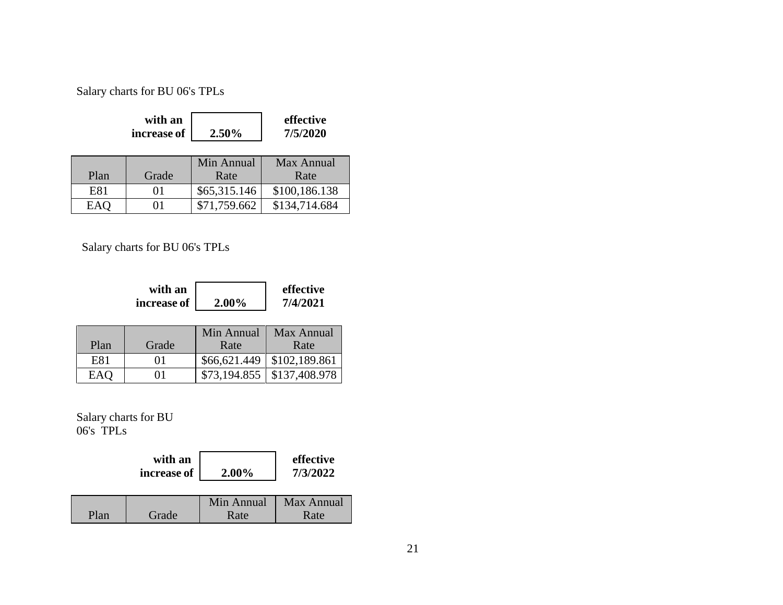Salary charts for BU 06's TPLs

| with an       |          | effective |
|---------------|----------|-----------|
| increase of 1 | $2.50\%$ | 7/5/2020  |

| Plan | Grade | Min Annual<br>Rate | Max Annual<br>Rate |
|------|-------|--------------------|--------------------|
| E81  | 01    | \$65,315.146       | \$100,186.138      |
| EAQ  | 01    | \$71,759.662       | \$134,714.684      |

Salary charts for BU 06's TPLs

| with an     |          | effective |
|-------------|----------|-----------|
| increase of | $2.00\%$ | 7/4/2021  |

|      |       | Min Annual | Max Annual                      |
|------|-------|------------|---------------------------------|
| Plan | Grade | Rate       | Rate                            |
| E81  | 01    |            | $$66,621.449 \mid $102,189.861$ |
| EAO  | 01    |            | $$73,194.855$ $$137,408.978$    |

Salary charts for BU 06's TPLs

|      | with an<br>increase of | 2.00%              | effective<br>7/3/2022 |
|------|------------------------|--------------------|-----------------------|
| Plan | Grade                  | Min Annual<br>Rate | Max Annual<br>Rate    |